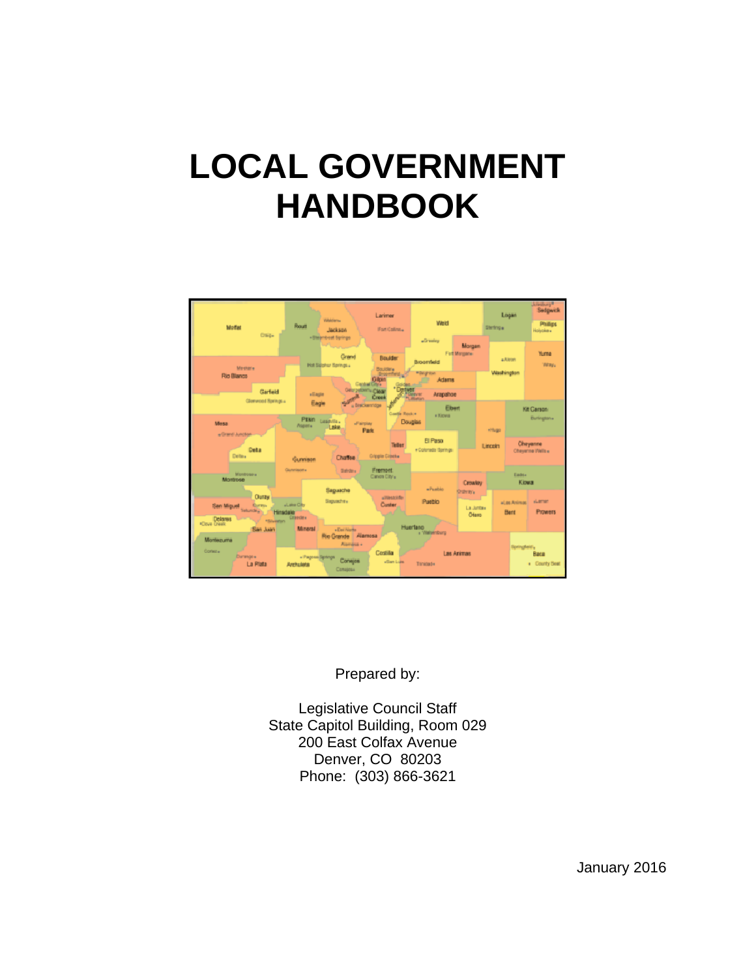# **LOCAL GOVERNMENT HANDBOOK**



Prepared by:

Legislative Council Staff State Capitol Building, Room 029 200 East Colfax Avenue Denver, CO 80203 Phone: (303) 866-3621

January 2016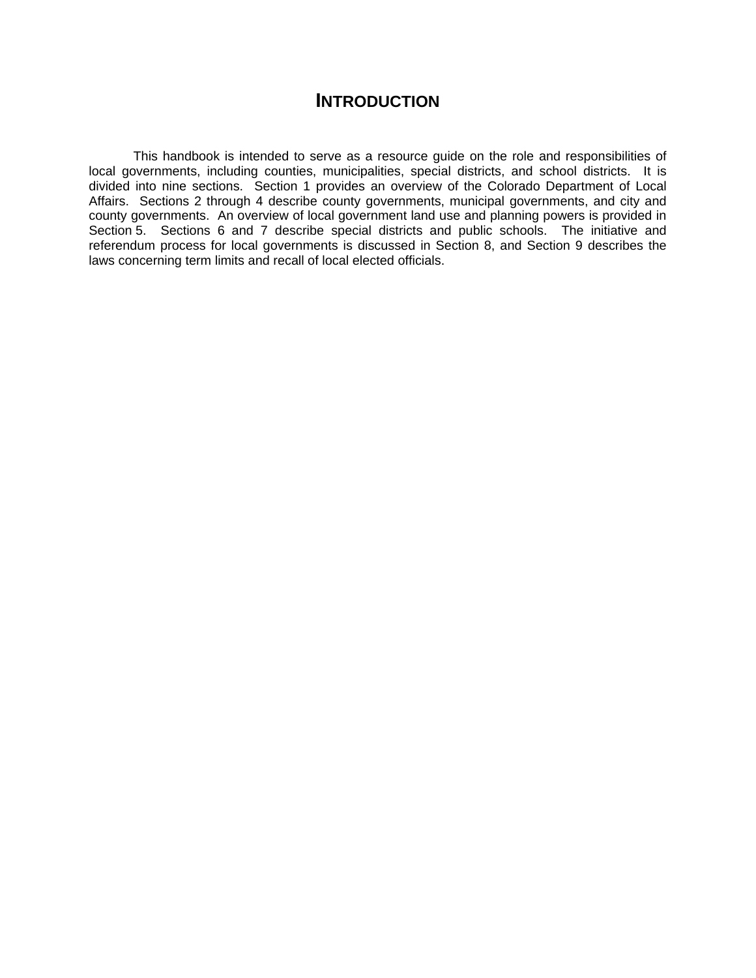## **INTRODUCTION**

This handbook is intended to serve as a resource guide on the role and responsibilities of local governments, including counties, municipalities, special districts, and school districts. It is divided into nine sections. Section 1 provides an overview of the Colorado Department of Local Affairs. Sections 2 through 4 describe county governments, municipal governments, and city and county governments. An overview of local government land use and planning powers is provided in Section 5. Sections 6 and 7 describe special districts and public schools. The initiative and referendum process for local governments is discussed in Section 8, and Section 9 describes the laws concerning term limits and recall of local elected officials.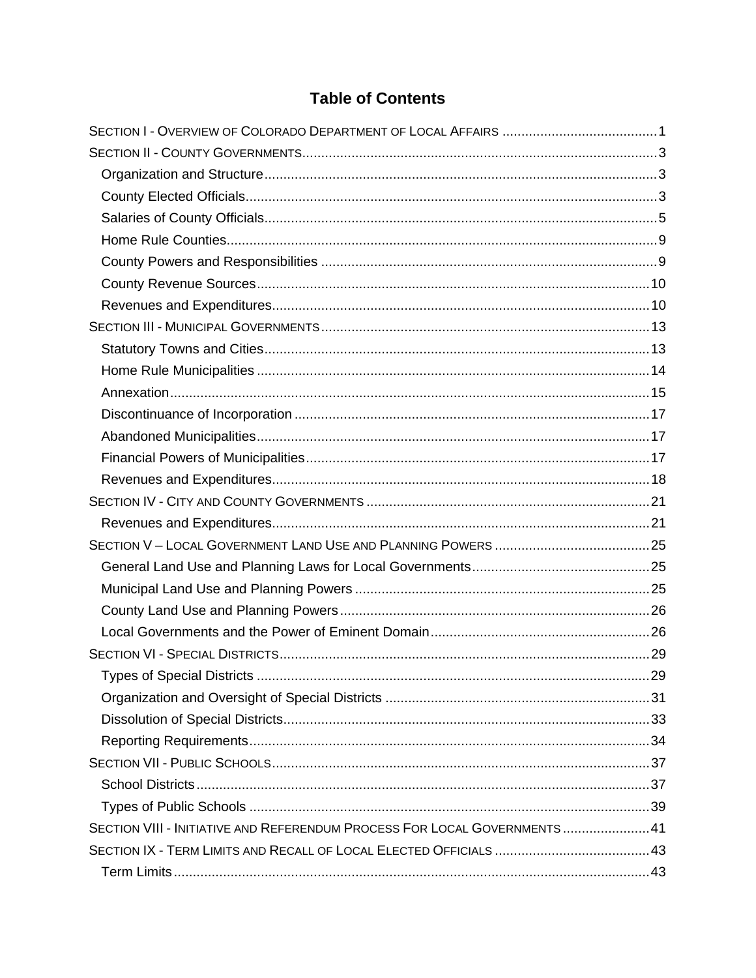# **Table of Contents**

| SECTION VIII - INITIATIVE AND REFERENDUM PROCESS FOR LOCAL GOVERNMENTS 41 |  |
|---------------------------------------------------------------------------|--|
|                                                                           |  |
|                                                                           |  |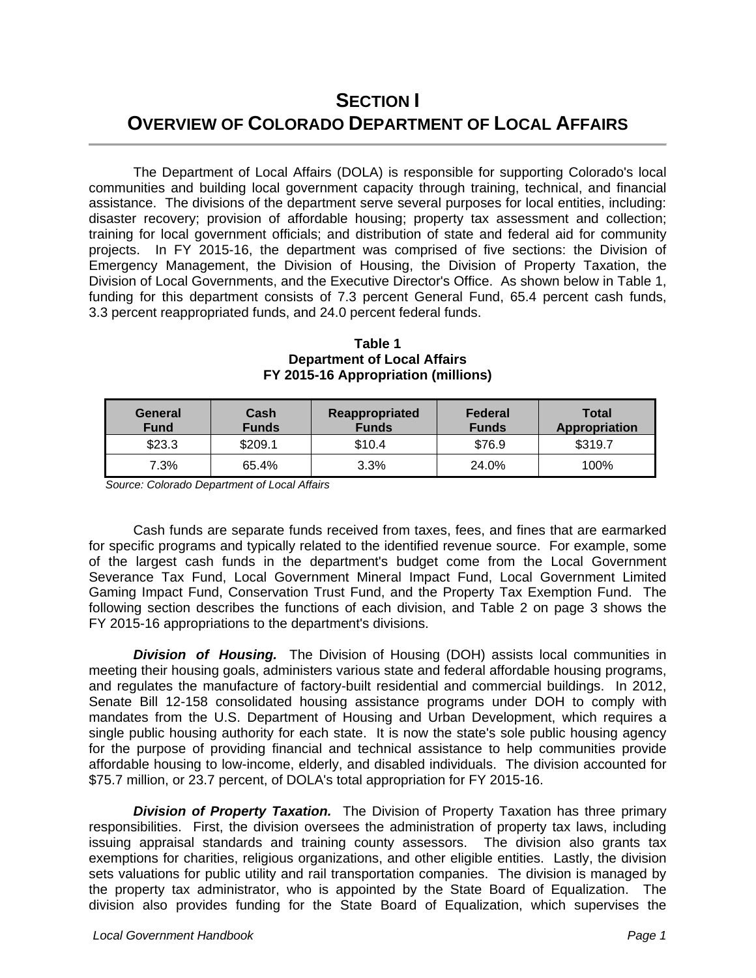# **SECTION I OVERVIEW OF COLORADO DEPARTMENT OF LOCAL AFFAIRS**

 The Department of Local Affairs (DOLA) is responsible for supporting Colorado's local communities and building local government capacity through training, technical, and financial assistance. The divisions of the department serve several purposes for local entities, including: disaster recovery; provision of affordable housing; property tax assessment and collection; training for local government officials; and distribution of state and federal aid for community projects. In FY 2015-16, the department was comprised of five sections: the Division of Emergency Management, the Division of Housing, the Division of Property Taxation, the Division of Local Governments, and the Executive Director's Office. As shown below in Table 1, funding for this department consists of 7.3 percent General Fund, 65.4 percent cash funds, 3.3 percent reappropriated funds, and 24.0 percent federal funds.

| General<br><b>Fund</b> | Cash<br><b>Funds</b> | Reappropriated<br><b>Funds</b> | Federal<br><b>Funds</b> | <b>Total</b><br><b>Appropriation</b> |
|------------------------|----------------------|--------------------------------|-------------------------|--------------------------------------|
| \$23.3                 | \$209.1              | \$10.4                         | \$76.9                  | \$319.7                              |
| 7.3%                   | 65.4%                | 3.3%                           | 24.0%                   | 100%                                 |

**Table 1 Department of Local Affairs FY 2015-16 Appropriation (millions)** 

 *Source: Colorado Department of Local Affairs* 

 Cash funds are separate funds received from taxes, fees, and fines that are earmarked for specific programs and typically related to the identified revenue source. For example, some of the largest cash funds in the department's budget come from the Local Government Severance Tax Fund, Local Government Mineral Impact Fund, Local Government Limited Gaming Impact Fund, Conservation Trust Fund, and the Property Tax Exemption Fund. The following section describes the functions of each division, and Table 2 on page 3 shows the FY 2015-16 appropriations to the department's divisions.

**Division of Housing.** The Division of Housing (DOH) assists local communities in meeting their housing goals, administers various state and federal affordable housing programs, and regulates the manufacture of factory-built residential and commercial buildings. In 2012, Senate Bill 12-158 consolidated housing assistance programs under DOH to comply with mandates from the U.S. Department of Housing and Urban Development, which requires a single public housing authority for each state. It is now the state's sole public housing agency for the purpose of providing financial and technical assistance to help communities provide affordable housing to low-income, elderly, and disabled individuals. The division accounted for \$75.7 million, or 23.7 percent, of DOLA's total appropriation for FY 2015-16.

 *Division of Property Taxation.* The Division of Property Taxation has three primary responsibilities. First, the division oversees the administration of property tax laws, including issuing appraisal standards and training county assessors. The division also grants tax exemptions for charities, religious organizations, and other eligible entities. Lastly, the division sets valuations for public utility and rail transportation companies. The division is managed by the property tax administrator, who is appointed by the State Board of Equalization. The division also provides funding for the State Board of Equalization, which supervises the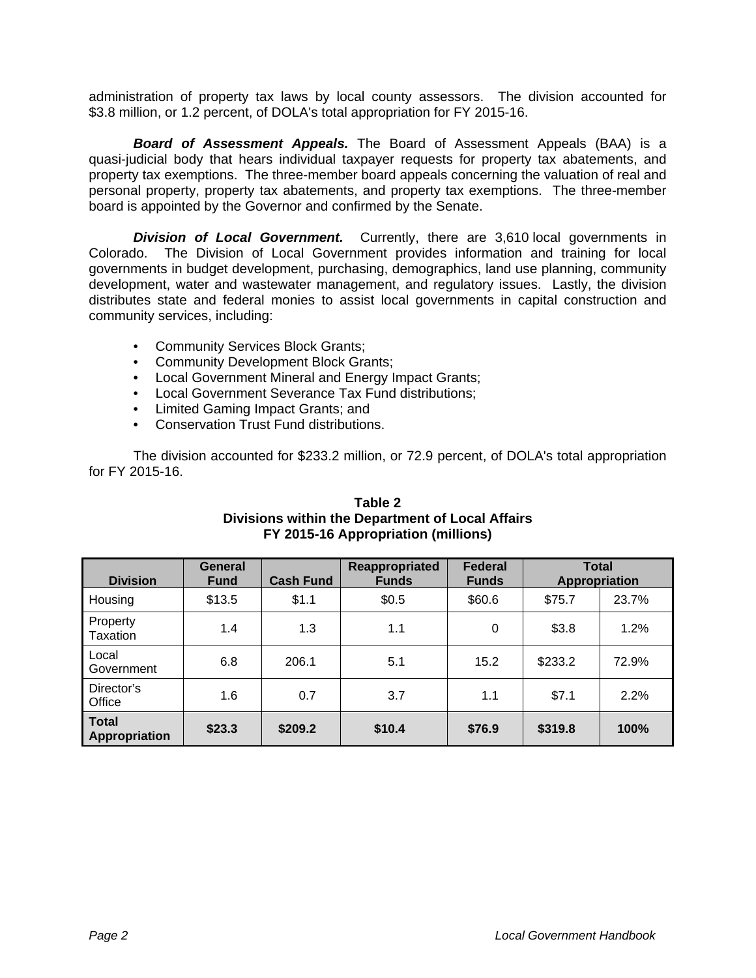administration of property tax laws by local county assessors. The division accounted for \$3.8 million, or 1.2 percent, of DOLA's total appropriation for FY 2015-16.

 *Board of Assessment Appeals.* The Board of Assessment Appeals (BAA) is a quasi-judicial body that hears individual taxpayer requests for property tax abatements, and property tax exemptions. The three-member board appeals concerning the valuation of real and personal property, property tax abatements, and property tax exemptions. The three-member board is appointed by the Governor and confirmed by the Senate.

**Division of Local Government.** Currently, there are 3,610 local governments in Colorado. The Division of Local Government provides information and training for local governments in budget development, purchasing, demographics, land use planning, community development, water and wastewater management, and regulatory issues. Lastly, the division distributes state and federal monies to assist local governments in capital construction and community services, including:

- Community Services Block Grants;
- Community Development Block Grants;
- Local Government Mineral and Energy Impact Grants;
- Local Government Severance Tax Fund distributions;
- Limited Gaming Impact Grants; and
- Conservation Trust Fund distributions.

 The division accounted for \$233.2 million, or 72.9 percent, of DOLA's total appropriation for FY 2015-16.

| <b>Division</b>               | <b>General</b><br><b>Fund</b> | <b>Cash Fund</b> | Reappropriated<br><b>Funds</b> | <b>Federal</b><br><b>Funds</b> | <b>Total</b><br><b>Appropriation</b> |       |
|-------------------------------|-------------------------------|------------------|--------------------------------|--------------------------------|--------------------------------------|-------|
| Housing                       | \$13.5                        | \$1.1            | \$0.5                          | \$60.6                         | \$75.7                               | 23.7% |
| Property<br>Taxation          | 1.4                           | 1.3              | 1.1                            | 0                              | \$3.8                                | 1.2%  |
| Local<br>Government           | 6.8                           | 206.1            | 5.1                            | 15.2                           | \$233.2                              | 72.9% |
| Director's<br>Office          | 1.6                           | 0.7              | 3.7                            | 1.1                            | \$7.1                                | 2.2%  |
| <b>Total</b><br>Appropriation | \$23.3                        | \$209.2          | \$10.4                         | \$76.9                         | \$319.8                              | 100%  |

#### **Table 2 Divisions within the Department of Local Affairs FY 2015-16 Appropriation (millions)**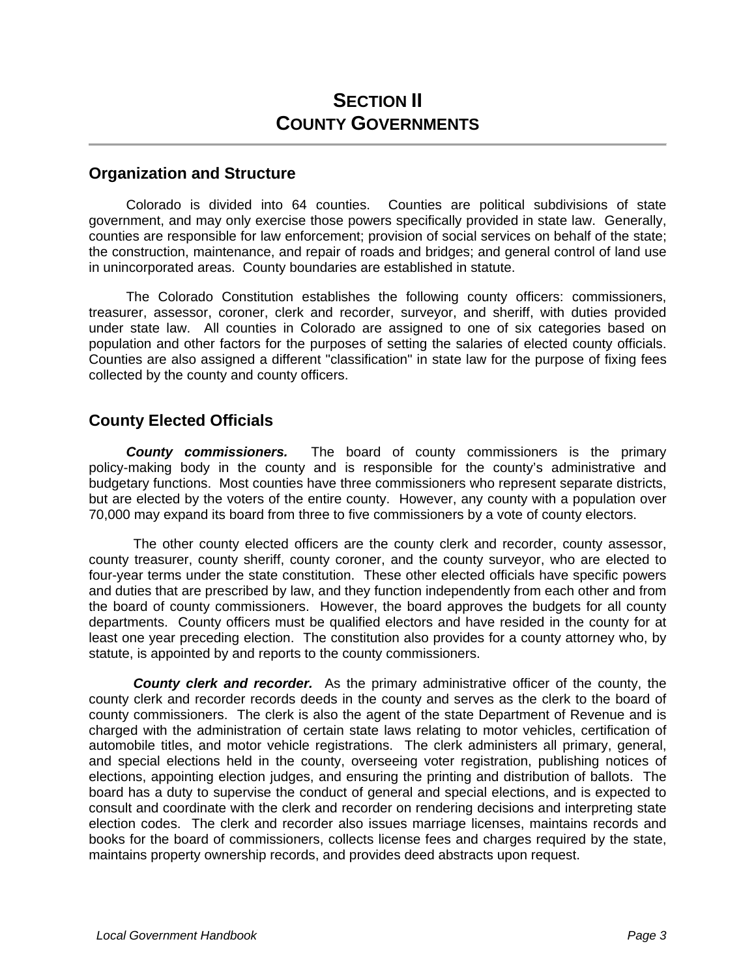# **SECTION II COUNTY GOVERNMENTS**

#### **Organization and Structure**

Colorado is divided into 64 counties. Counties are political subdivisions of state government, and may only exercise those powers specifically provided in state law. Generally, counties are responsible for law enforcement; provision of social services on behalf of the state; the construction, maintenance, and repair of roads and bridges; and general control of land use in unincorporated areas. County boundaries are established in statute.

The Colorado Constitution establishes the following county officers: commissioners, treasurer, assessor, coroner, clerk and recorder, surveyor, and sheriff, with duties provided under state law. All counties in Colorado are assigned to one of six categories based on population and other factors for the purposes of setting the salaries of elected county officials. Counties are also assigned a different "classification" in state law for the purpose of fixing fees collected by the county and county officers.

#### **County Elected Officials**

*County commissioners.* The board of county commissioners is the primary policy-making body in the county and is responsible for the county's administrative and budgetary functions. Most counties have three commissioners who represent separate districts, but are elected by the voters of the entire county. However, any county with a population over 70,000 may expand its board from three to five commissioners by a vote of county electors.

The other county elected officers are the county clerk and recorder, county assessor, county treasurer, county sheriff, county coroner, and the county surveyor, who are elected to four-year terms under the state constitution. These other elected officials have specific powers and duties that are prescribed by law, and they function independently from each other and from the board of county commissioners. However, the board approves the budgets for all county departments. County officers must be qualified electors and have resided in the county for at least one year preceding election. The constitution also provides for a county attorney who, by statute, is appointed by and reports to the county commissioners.

*County clerk and recorder.* As the primary administrative officer of the county, the county clerk and recorder records deeds in the county and serves as the clerk to the board of county commissioners. The clerk is also the agent of the state Department of Revenue and is charged with the administration of certain state laws relating to motor vehicles, certification of automobile titles, and motor vehicle registrations. The clerk administers all primary, general, and special elections held in the county, overseeing voter registration, publishing notices of elections, appointing election judges, and ensuring the printing and distribution of ballots. The board has a duty to supervise the conduct of general and special elections, and is expected to consult and coordinate with the clerk and recorder on rendering decisions and interpreting state election codes. The clerk and recorder also issues marriage licenses, maintains records and books for the board of commissioners, collects license fees and charges required by the state, maintains property ownership records, and provides deed abstracts upon request.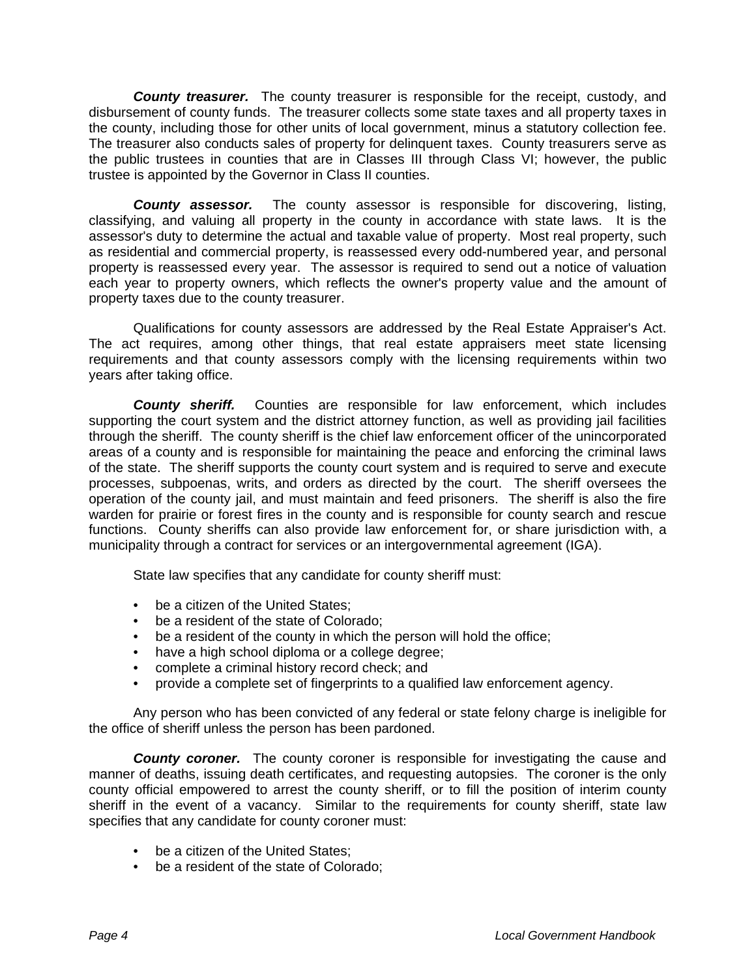*County treasurer.* The county treasurer is responsible for the receipt, custody, and disbursement of county funds. The treasurer collects some state taxes and all property taxes in the county, including those for other units of local government, minus a statutory collection fee. The treasurer also conducts sales of property for delinquent taxes. County treasurers serve as the public trustees in counties that are in Classes III through Class VI; however, the public trustee is appointed by the Governor in Class II counties.

*County assessor.* The county assessor is responsible for discovering, listing, classifying, and valuing all property in the county in accordance with state laws. It is the assessor's duty to determine the actual and taxable value of property. Most real property, such as residential and commercial property, is reassessed every odd-numbered year, and personal property is reassessed every year. The assessor is required to send out a notice of valuation each year to property owners, which reflects the owner's property value and the amount of property taxes due to the county treasurer.

Qualifications for county assessors are addressed by the Real Estate Appraiser's Act. The act requires, among other things, that real estate appraisers meet state licensing requirements and that county assessors comply with the licensing requirements within two years after taking office.

*County sheriff.*Counties are responsible for law enforcement, which includes supporting the court system and the district attorney function, as well as providing jail facilities through the sheriff. The county sheriff is the chief law enforcement officer of the unincorporated areas of a county and is responsible for maintaining the peace and enforcing the criminal laws of the state. The sheriff supports the county court system and is required to serve and execute processes, subpoenas, writs, and orders as directed by the court. The sheriff oversees the operation of the county jail, and must maintain and feed prisoners. The sheriff is also the fire warden for prairie or forest fires in the county and is responsible for county search and rescue functions. County sheriffs can also provide law enforcement for, or share jurisdiction with, a municipality through a contract for services or an intergovernmental agreement (IGA).

State law specifies that any candidate for county sheriff must:

- be a citizen of the United States:
- be a resident of the state of Colorado;
- be a resident of the county in which the person will hold the office;
- have a high school diploma or a college degree;
- complete a criminal history record check; and
- provide a complete set of fingerprints to a qualified law enforcement agency.

Any person who has been convicted of any federal or state felony charge is ineligible for the office of sheriff unless the person has been pardoned.

**County coroner.** The county coroner is responsible for investigating the cause and manner of deaths, issuing death certificates, and requesting autopsies. The coroner is the only county official empowered to arrest the county sheriff, or to fill the position of interim county sheriff in the event of a vacancy. Similar to the requirements for county sheriff, state law specifies that any candidate for county coroner must:

- be a citizen of the United States:
- be a resident of the state of Colorado;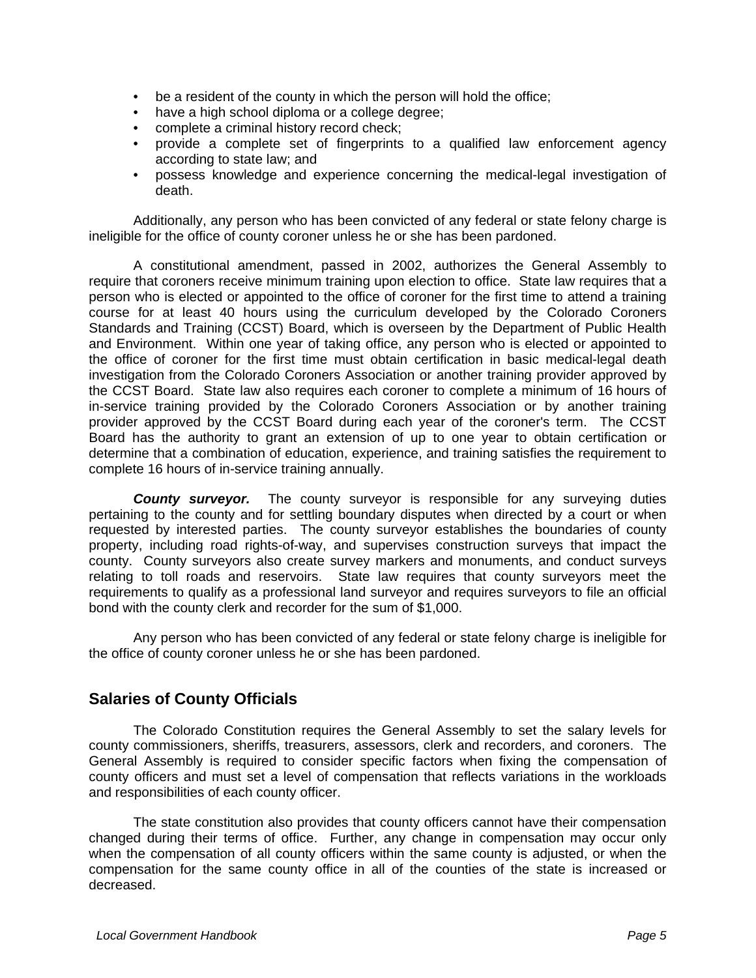- be a resident of the county in which the person will hold the office;
- have a high school diploma or a college degree;
- complete a criminal history record check;
- provide a complete set of fingerprints to a qualified law enforcement agency according to state law; and
- possess knowledge and experience concerning the medical-legal investigation of death.

Additionally, any person who has been convicted of any federal or state felony charge is ineligible for the office of county coroner unless he or she has been pardoned.

A constitutional amendment, passed in 2002, authorizes the General Assembly to require that coroners receive minimum training upon election to office. State law requires that a person who is elected or appointed to the office of coroner for the first time to attend a training course for at least 40 hours using the curriculum developed by the Colorado Coroners Standards and Training (CCST) Board, which is overseen by the Department of Public Health and Environment. Within one year of taking office, any person who is elected or appointed to the office of coroner for the first time must obtain certification in basic medical-legal death investigation from the Colorado Coroners Association or another training provider approved by the CCST Board. State law also requires each coroner to complete a minimum of 16 hours of in-service training provided by the Colorado Coroners Association or by another training provider approved by the CCST Board during each year of the coroner's term. The CCST Board has the authority to grant an extension of up to one year to obtain certification or determine that a combination of education, experience, and training satisfies the requirement to complete 16 hours of in-service training annually.

**County surveyor.** The county surveyor is responsible for any surveying duties pertaining to the county and for settling boundary disputes when directed by a court or when requested by interested parties. The county surveyor establishes the boundaries of county property, including road rights-of-way, and supervises construction surveys that impact the county. County surveyors also create survey markers and monuments, and conduct surveys relating to toll roads and reservoirs. State law requires that county surveyors meet the requirements to qualify as a professional land surveyor and requires surveyors to file an official bond with the county clerk and recorder for the sum of \$1,000.

Any person who has been convicted of any federal or state felony charge is ineligible for the office of county coroner unless he or she has been pardoned.

## **Salaries of County Officials**

The Colorado Constitution requires the General Assembly to set the salary levels for county commissioners, sheriffs, treasurers, assessors, clerk and recorders, and coroners. The General Assembly is required to consider specific factors when fixing the compensation of county officers and must set a level of compensation that reflects variations in the workloads and responsibilities of each county officer.

The state constitution also provides that county officers cannot have their compensation changed during their terms of office. Further, any change in compensation may occur only when the compensation of all county officers within the same county is adjusted, or when the compensation for the same county office in all of the counties of the state is increased or decreased.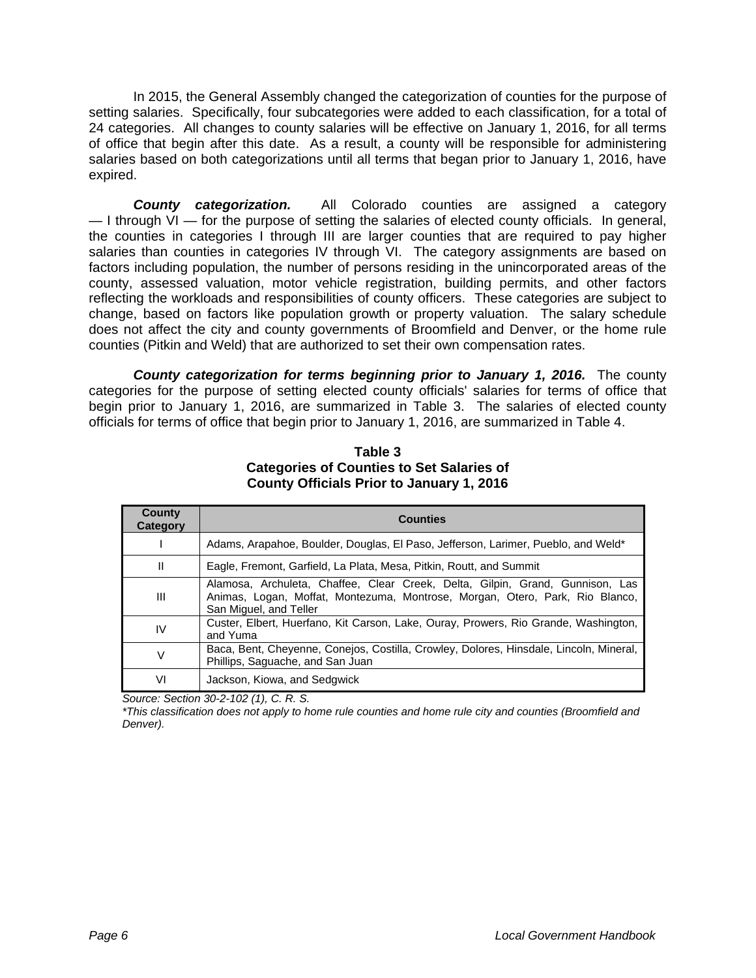In 2015, the General Assembly changed the categorization of counties for the purpose of setting salaries. Specifically, four subcategories were added to each classification, for a total of 24 categories. All changes to county salaries will be effective on January 1, 2016, for all terms of office that begin after this date. As a result, a county will be responsible for administering salaries based on both categorizations until all terms that began prior to January 1, 2016, have expired.

**County categorization.** All Colorado counties are assigned a category — I through VI — for the purpose of setting the salaries of elected county officials. In general, the counties in categories I through III are larger counties that are required to pay higher salaries than counties in categories IV through VI. The category assignments are based on factors including population, the number of persons residing in the unincorporated areas of the county, assessed valuation, motor vehicle registration, building permits, and other factors reflecting the workloads and responsibilities of county officers. These categories are subject to change, based on factors like population growth or property valuation. The salary schedule does not affect the city and county governments of Broomfield and Denver, or the home rule counties (Pitkin and Weld) that are authorized to set their own compensation rates.

*County categorization for terms beginning prior to January 1, 2016.* The county categories for the purpose of setting elected county officials' salaries for terms of office that begin prior to January 1, 2016, are summarized in Table 3. The salaries of elected county officials for terms of office that begin prior to January 1, 2016, are summarized in Table 4.

| County<br>Category | <b>Counties</b>                                                                                                                                                                         |
|--------------------|-----------------------------------------------------------------------------------------------------------------------------------------------------------------------------------------|
|                    | Adams, Arapahoe, Boulder, Douglas, El Paso, Jefferson, Larimer, Pueblo, and Weld*                                                                                                       |
| Ш                  | Eagle, Fremont, Garfield, La Plata, Mesa, Pitkin, Routt, and Summit                                                                                                                     |
| Ш                  | Alamosa, Archuleta, Chaffee, Clear Creek, Delta, Gilpin, Grand, Gunnison, Las<br>Animas, Logan, Moffat, Montezuma, Montrose, Morgan, Otero, Park, Rio Blanco,<br>San Miguel, and Teller |
| IV                 | Custer, Elbert, Huerfano, Kit Carson, Lake, Ouray, Prowers, Rio Grande, Washington,<br>and Yuma                                                                                         |
| V                  | Baca, Bent, Cheyenne, Conejos, Costilla, Crowley, Dolores, Hinsdale, Lincoln, Mineral,<br>Phillips, Saguache, and San Juan                                                              |
| VI                 | Jackson, Kiowa, and Sedgwick                                                                                                                                                            |

**Table 3 Categories of Counties to Set Salaries of County Officials Prior to January 1, 2016** 

*Source: Section 30-2-102 (1), C. R. S.* 

*\*This classification does not apply to home rule counties and home rule city and counties (Broomfield and Denver).*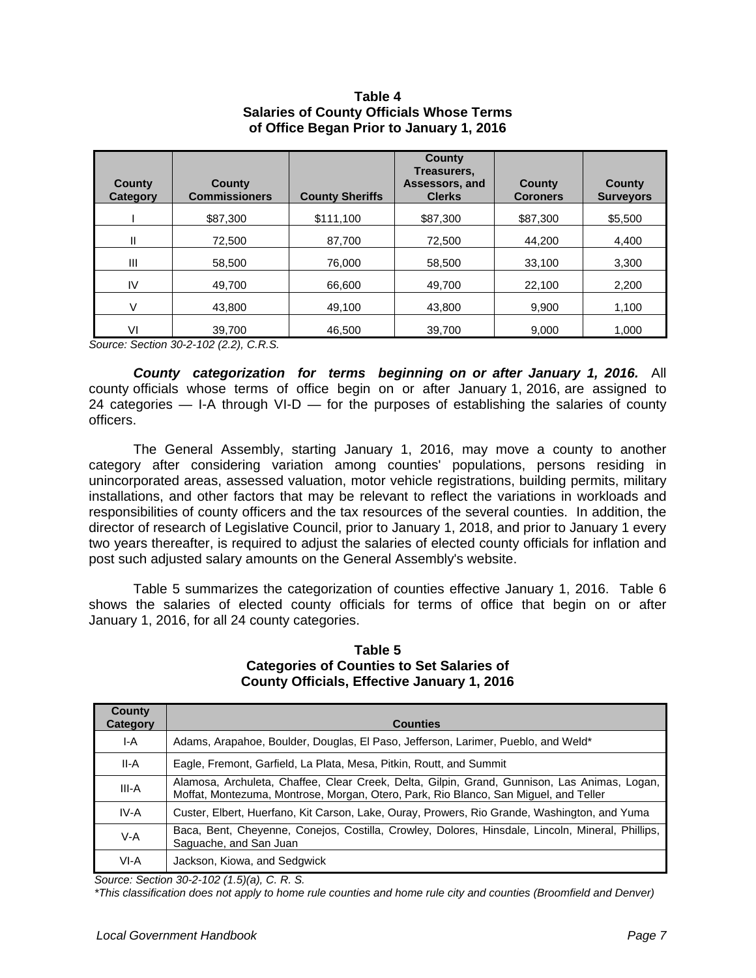#### **Table 4 Salaries of County Officials Whose Terms of Office Began Prior to January 1, 2016**

| <b>County</b><br>Category | County<br><b>Commissioners</b> | <b>County Sheriffs</b> | <b>County</b><br>Treasurers,<br>Assessors, and<br><b>Clerks</b> | County<br><b>Coroners</b> | County<br><b>Surveyors</b> |
|---------------------------|--------------------------------|------------------------|-----------------------------------------------------------------|---------------------------|----------------------------|
|                           | \$87,300                       | \$111,100              | \$87,300                                                        | \$87,300                  | \$5,500                    |
| Ш                         | 72.500                         | 87.700                 | 72.500                                                          | 44.200                    | 4,400                      |
| Ш                         | 58.500                         | 76.000                 | 58.500                                                          | 33,100                    | 3,300                      |
| IV                        | 49,700                         | 66,600                 | 49,700                                                          | 22,100                    | 2,200                      |
| V                         | 43.800                         | 49.100                 | 43.800                                                          | 9,900                     | 1,100                      |
| VI                        | 39.700                         | 46.500                 | 39.700                                                          | 9,000                     | 1.000                      |

*Source: Section 30-2-102 (2.2), C.R.S.* 

*County categorization for terms beginning on or after January 1, 2016.* All county officials whose terms of office begin on or after January 1, 2016, are assigned to 24 categories — I-A through VI-D — for the purposes of establishing the salaries of county officers.

The General Assembly, starting January 1, 2016, may move a county to another category after considering variation among counties' populations, persons residing in unincorporated areas, assessed valuation, motor vehicle registrations, building permits, military installations, and other factors that may be relevant to reflect the variations in workloads and responsibilities of county officers and the tax resources of the several counties. In addition, the director of research of Legislative Council, prior to January 1, 2018, and prior to January 1 every two years thereafter, is required to adjust the salaries of elected county officials for inflation and post such adjusted salary amounts on the General Assembly's website.

Table 5 summarizes the categorization of counties effective January 1, 2016. Table 6 shows the salaries of elected county officials for terms of office that begin on or after January 1, 2016, for all 24 county categories.

| County<br><b>Category</b> | <b>Counties</b>                                                                                                                                                                      |
|---------------------------|--------------------------------------------------------------------------------------------------------------------------------------------------------------------------------------|
| I-A                       | Adams, Arapahoe, Boulder, Douglas, El Paso, Jefferson, Larimer, Pueblo, and Weld*                                                                                                    |
| II-A                      | Eagle, Fremont, Garfield, La Plata, Mesa, Pitkin, Routt, and Summit                                                                                                                  |
| III-A                     | Alamosa, Archuleta, Chaffee, Clear Creek, Delta, Gilpin, Grand, Gunnison, Las Animas, Logan,<br>Moffat, Montezuma, Montrose, Morgan, Otero, Park, Rio Blanco, San Miguel, and Teller |
| IV-A                      | Custer, Elbert, Huerfano, Kit Carson, Lake, Ouray, Prowers, Rio Grande, Washington, and Yuma                                                                                         |
| $V-A$                     | Baca, Bent, Cheyenne, Conejos, Costilla, Crowley, Dolores, Hinsdale, Lincoln, Mineral, Phillips,<br>Saguache, and San Juan                                                           |
| VI-A                      | Jackson, Kiowa, and Sedgwick                                                                                                                                                         |

#### **Table 5 Categories of Counties to Set Salaries of County Officials, Effective January 1, 2016**

*Source: Section 30-2-102 (1.5)(a), C. R. S.* 

*\*This classification does not apply to home rule counties and home rule city and counties (Broomfield and Denver)*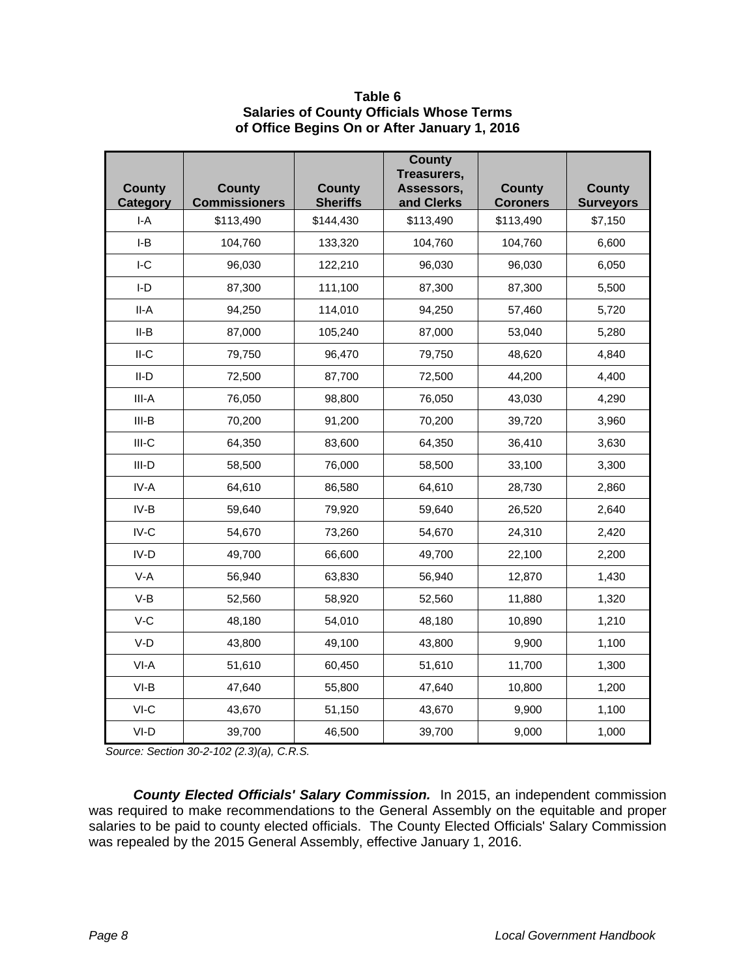| Table 6                                         |
|-------------------------------------------------|
| <b>Salaries of County Officials Whose Terms</b> |
| of Office Begins On or After January 1, 2016    |

| <b>County</b>            | <b>County</b><br><b>Commissioners</b> | <b>County</b><br><b>Sheriffs</b> | <b>County</b><br>Treasurers,<br>Assessors. | County                       | County                      |
|--------------------------|---------------------------------------|----------------------------------|--------------------------------------------|------------------------------|-----------------------------|
| <b>Category</b><br>$I-A$ | \$113,490                             | \$144,430                        | and Clerks<br>\$113,490                    | <b>Coroners</b><br>\$113,490 | <b>Surveyors</b><br>\$7,150 |
| $I-B$                    | 104,760                               | 133,320                          | 104,760                                    | 104,760                      | 6,600                       |
| $I-C$                    | 96,030                                | 122,210                          | 96,030                                     | 96,030                       | 6,050                       |
| I-D                      | 87,300                                | 111,100                          | 87,300                                     | 87,300                       | 5,500                       |
| II-A                     | 94,250                                | 114,010                          | 94,250                                     | 57,460                       | 5,720                       |
| II-B                     | 87,000                                | 105,240                          | 87,000                                     | 53,040                       | 5,280                       |
| $II-C$                   | 79,750                                | 96,470                           | 79,750                                     | 48,620                       | 4,840                       |
| II-D                     | 72,500                                | 87,700                           | 72,500                                     | 44,200                       | 4,400                       |
| III-A                    | 76,050                                | 98,800                           | 76,050                                     | 43,030                       | 4,290                       |
| III-B                    | 70,200                                | 91,200                           | 70,200                                     | 39,720                       | 3,960                       |
| $III-C$                  | 64,350                                | 83,600                           | 64,350                                     | 36,410                       | 3,630                       |
| $III-D$                  | 58,500                                | 76,000                           | 58,500                                     | 33,100                       | 3,300                       |
| IV-A                     | 64,610                                | 86,580                           | 64,610                                     | 28,730                       | 2,860                       |
| IV-B                     | 59,640                                | 79,920                           | 59,640                                     | 26,520                       | 2,640                       |
| $IV-C$                   | 54,670                                | 73,260                           | 54,670                                     | 24,310                       | 2,420                       |
| $IV-D$                   | 49,700                                | 66,600                           | 49,700                                     | 22,100                       | 2,200                       |
| V-A                      | 56,940                                | 63,830                           | 56,940                                     | 12,870                       | 1,430                       |
| V-B                      | 52,560                                | 58,920                           | 52,560                                     | 11,880                       | 1,320                       |
| $V-C$                    | 48,180                                | 54,010                           | 48,180                                     | 10,890                       | 1,210                       |
| $V-D$                    | 43,800                                | 49,100                           | 43,800                                     | 9,900                        | 1,100                       |
| VI-A                     | 51,610                                | 60,450                           | 51,610                                     | 11,700                       | 1,300                       |
| $VI-B$                   | 47,640                                | 55,800                           | 47,640                                     | 10,800                       | 1,200                       |
| VI-C                     | 43,670                                | 51,150                           | 43,670                                     | 9,900                        | 1,100                       |
| VI-D                     | 39,700                                | 46,500                           | 39,700                                     | 9,000                        | 1,000                       |

*Source: Section 30-2-102 (2.3)(a), C.R.S.* 

*County Elected Officials' Salary Commission.* In 2015, an independent commission was required to make recommendations to the General Assembly on the equitable and proper salaries to be paid to county elected officials. The County Elected Officials' Salary Commission was repealed by the 2015 General Assembly, effective January 1, 2016.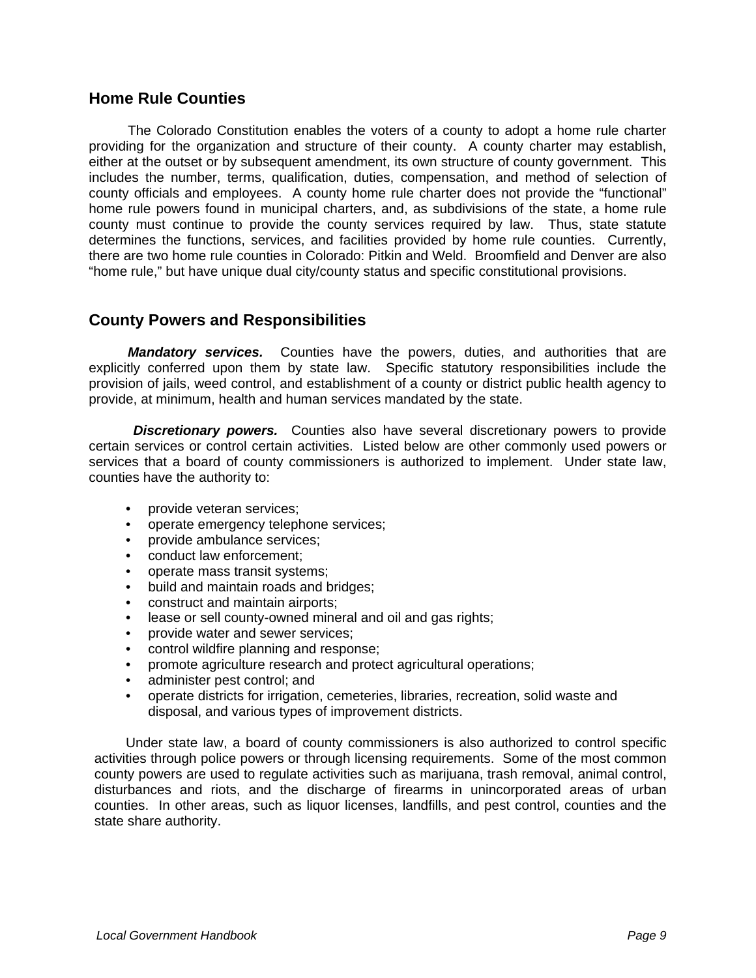#### **Home Rule Counties**

 The Colorado Constitution enables the voters of a county to adopt a home rule charter providing for the organization and structure of their county. A county charter may establish, either at the outset or by subsequent amendment, its own structure of county government. This includes the number, terms, qualification, duties, compensation, and method of selection of county officials and employees. A county home rule charter does not provide the "functional" home rule powers found in municipal charters, and, as subdivisions of the state, a home rule county must continue to provide the county services required by law. Thus, state statute determines the functions, services, and facilities provided by home rule counties. Currently, there are two home rule counties in Colorado: Pitkin and Weld. Broomfield and Denver are also "home rule," but have unique dual city/county status and specific constitutional provisions.

## **County Powers and Responsibilities**

Mandatory services. Counties have the powers, duties, and authorities that are explicitly conferred upon them by state law. Specific statutory responsibilities include the provision of jails, weed control, and establishment of a county or district public health agency to provide, at minimum, health and human services mandated by the state.

*Discretionary powers.* Counties also have several discretionary powers to provide certain services or control certain activities. Listed below are other commonly used powers or services that a board of county commissioners is authorized to implement. Under state law, counties have the authority to:

- provide veteran services;
- operate emergency telephone services;
- provide ambulance services;
- conduct law enforcement;
- operate mass transit systems;
- build and maintain roads and bridges;
- construct and maintain airports;
- lease or sell county-owned mineral and oil and gas rights;
- provide water and sewer services;
- control wildfire planning and response;
- promote agriculture research and protect agricultural operations;
- administer pest control; and
- operate districts for irrigation, cemeteries, libraries, recreation, solid waste and disposal, and various types of improvement districts.

Under state law, a board of county commissioners is also authorized to control specific activities through police powers or through licensing requirements. Some of the most common county powers are used to regulate activities such as marijuana, trash removal, animal control, disturbances and riots, and the discharge of firearms in unincorporated areas of urban counties. In other areas, such as liquor licenses, landfills, and pest control, counties and the state share authority.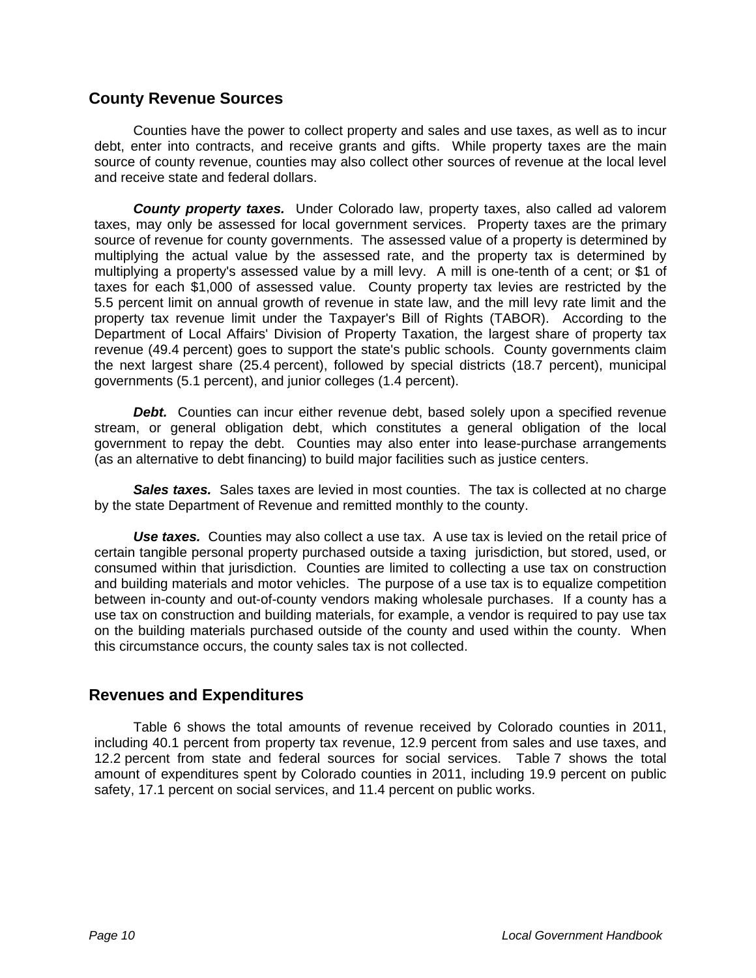#### **County Revenue Sources**

 Counties have the power to collect property and sales and use taxes, as well as to incur debt, enter into contracts, and receive grants and gifts. While property taxes are the main source of county revenue, counties may also collect other sources of revenue at the local level and receive state and federal dollars.

*County property taxes.* Under Colorado law, property taxes, also called ad valorem taxes, may only be assessed for local government services. Property taxes are the primary source of revenue for county governments. The assessed value of a property is determined by multiplying the actual value by the assessed rate, and the property tax is determined by multiplying a property's assessed value by a mill levy. A mill is one-tenth of a cent; or \$1 of taxes for each \$1,000 of assessed value. County property tax levies are restricted by the 5.5 percent limit on annual growth of revenue in state law, and the mill levy rate limit and the property tax revenue limit under the Taxpayer's Bill of Rights (TABOR). According to the Department of Local Affairs' Division of Property Taxation, the largest share of property tax revenue (49.4 percent) goes to support the state's public schools. County governments claim the next largest share (25.4 percent), followed by special districts (18.7 percent), municipal governments (5.1 percent), and junior colleges (1.4 percent).

**Debt.** Counties can incur either revenue debt, based solely upon a specified revenue stream, or general obligation debt, which constitutes a general obligation of the local government to repay the debt. Counties may also enter into lease-purchase arrangements (as an alternative to debt financing) to build major facilities such as justice centers.

**Sales taxes.** Sales taxes are levied in most counties. The tax is collected at no charge by the state Department of Revenue and remitted monthly to the county.

**Use taxes.** Counties may also collect a use tax. A use tax is levied on the retail price of certain tangible personal property purchased outside a taxing jurisdiction, but stored, used, or consumed within that jurisdiction. Counties are limited to collecting a use tax on construction and building materials and motor vehicles. The purpose of a use tax is to equalize competition between in-county and out-of-county vendors making wholesale purchases. If a county has a use tax on construction and building materials, for example, a vendor is required to pay use tax on the building materials purchased outside of the county and used within the county. When this circumstance occurs, the county sales tax is not collected.

#### **Revenues and Expenditures**

 Table 6 shows the total amounts of revenue received by Colorado counties in 2011, including 40.1 percent from property tax revenue, 12.9 percent from sales and use taxes, and 12.2 percent from state and federal sources for social services. Table 7 shows the total amount of expenditures spent by Colorado counties in 2011, including 19.9 percent on public safety, 17.1 percent on social services, and 11.4 percent on public works.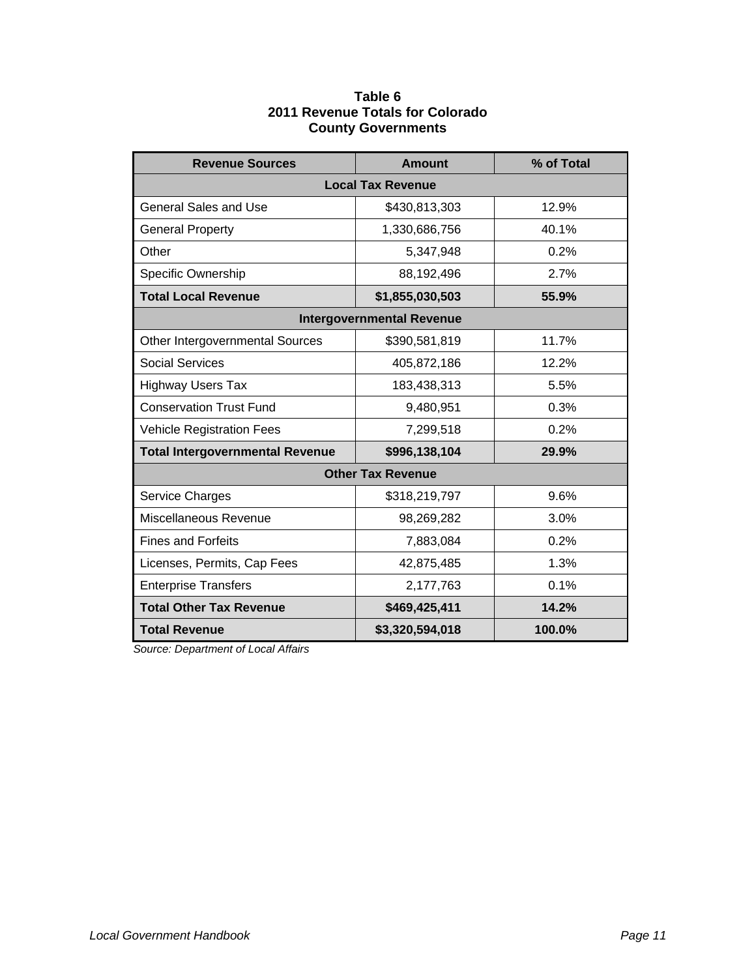#### **Table 6 2011 Revenue Totals for Colorado County Governments**

| <b>Revenue Sources</b>                 | <b>Amount</b>                    | % of Total |  |  |  |
|----------------------------------------|----------------------------------|------------|--|--|--|
| <b>Local Tax Revenue</b>               |                                  |            |  |  |  |
| <b>General Sales and Use</b>           | \$430,813,303                    | 12.9%      |  |  |  |
| <b>General Property</b>                | 1,330,686,756                    | 40.1%      |  |  |  |
| Other                                  | 5,347,948                        | 0.2%       |  |  |  |
| Specific Ownership                     | 88,192,496                       | 2.7%       |  |  |  |
| <b>Total Local Revenue</b>             | \$1,855,030,503                  | 55.9%      |  |  |  |
|                                        | <b>Intergovernmental Revenue</b> |            |  |  |  |
| Other Intergovernmental Sources        | \$390,581,819                    | 11.7%      |  |  |  |
| <b>Social Services</b>                 | 405,872,186                      | 12.2%      |  |  |  |
| <b>Highway Users Tax</b>               | 183,438,313                      | 5.5%       |  |  |  |
| <b>Conservation Trust Fund</b>         | 9,480,951                        | 0.3%       |  |  |  |
| <b>Vehicle Registration Fees</b>       | 7,299,518                        | 0.2%       |  |  |  |
| <b>Total Intergovernmental Revenue</b> | \$996,138,104                    | 29.9%      |  |  |  |
|                                        | <b>Other Tax Revenue</b>         |            |  |  |  |
| Service Charges                        | \$318,219,797                    | 9.6%       |  |  |  |
| Miscellaneous Revenue                  | 98,269,282                       | 3.0%       |  |  |  |
| <b>Fines and Forfeits</b>              | 7,883,084                        | 0.2%       |  |  |  |
| Licenses, Permits, Cap Fees            | 42,875,485                       | 1.3%       |  |  |  |
| <b>Enterprise Transfers</b>            | 2,177,763                        | 0.1%       |  |  |  |
| <b>Total Other Tax Revenue</b>         | \$469,425,411                    | 14.2%      |  |  |  |
| <b>Total Revenue</b>                   | \$3,320,594,018                  | 100.0%     |  |  |  |

 *Source: Department of Local Affairs*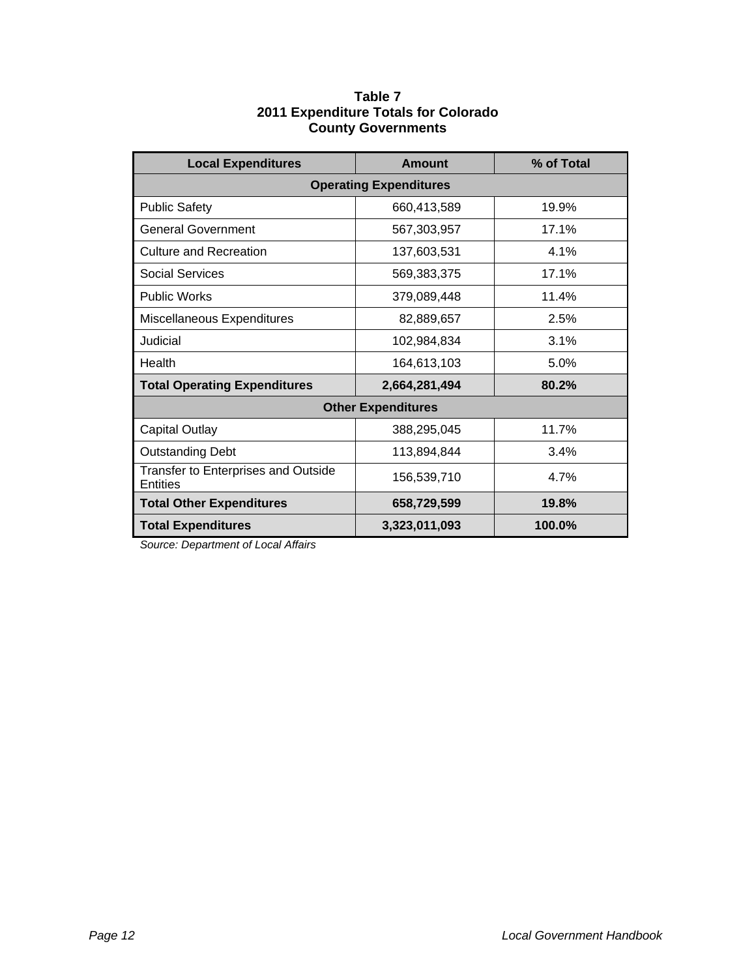| Table 7 |                                      |  |  |
|---------|--------------------------------------|--|--|
|         | 2011 Expenditure Totals for Colorado |  |  |
|         | <b>County Governments</b>            |  |  |

| <b>Local Expenditures</b>                              | Amount                    | % of Total |  |  |
|--------------------------------------------------------|---------------------------|------------|--|--|
| <b>Operating Expenditures</b>                          |                           |            |  |  |
| <b>Public Safety</b>                                   | 660,413,589               | 19.9%      |  |  |
| <b>General Government</b>                              | 567,303,957               | 17.1%      |  |  |
| <b>Culture and Recreation</b>                          | 137,603,531               | 4.1%       |  |  |
| <b>Social Services</b>                                 | 569,383,375               | 17.1%      |  |  |
| <b>Public Works</b>                                    | 379,089,448               | 11.4%      |  |  |
| Miscellaneous Expenditures                             | 82,889,657                | 2.5%       |  |  |
| Judicial                                               | 102,984,834               | 3.1%       |  |  |
| Health                                                 | 164,613,103               | 5.0%       |  |  |
| <b>Total Operating Expenditures</b>                    | 2,664,281,494             | 80.2%      |  |  |
|                                                        | <b>Other Expenditures</b> |            |  |  |
| <b>Capital Outlay</b>                                  | 388,295,045               | 11.7%      |  |  |
| <b>Outstanding Debt</b>                                | 113,894,844               | 3.4%       |  |  |
| <b>Transfer to Enterprises and Outside</b><br>Entities | 156,539,710               | 4.7%       |  |  |
| <b>Total Other Expenditures</b>                        | 658,729,599               | 19.8%      |  |  |
| <b>Total Expenditures</b><br>3,323,011,093<br>100.0%   |                           |            |  |  |

*Source: Department of Local Affairs*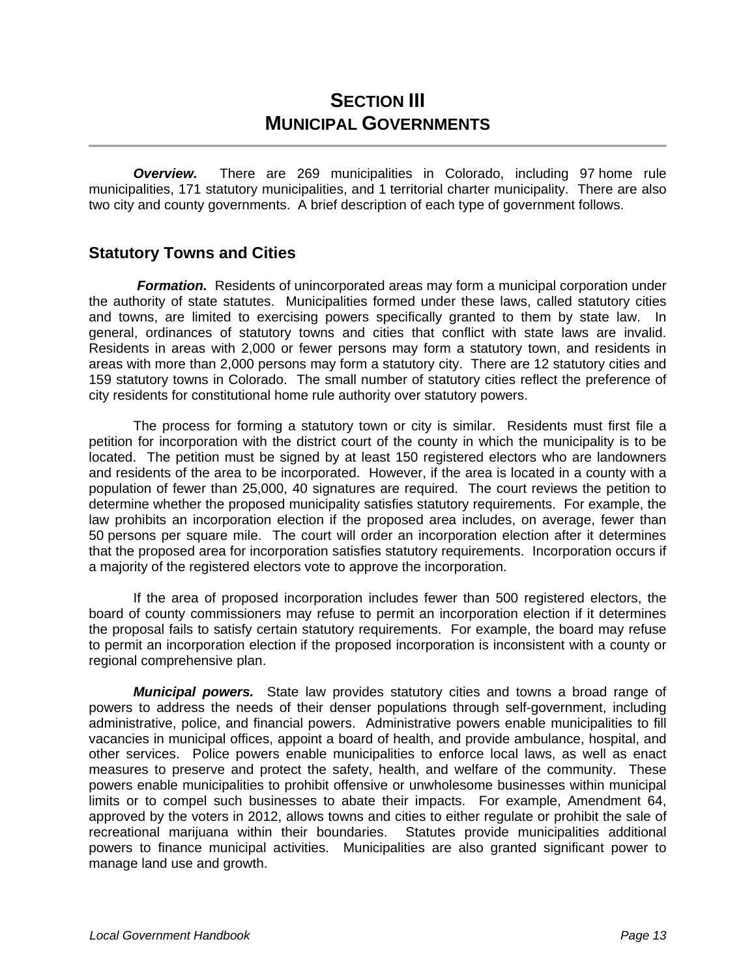# **SECTION III MUNICIPAL GOVERNMENTS**

*Overview.* There are 269 municipalities in Colorado, including 97 home rule municipalities, 171 statutory municipalities, and 1 territorial charter municipality. There are also two city and county governments. A brief description of each type of government follows.

#### **Statutory Towns and Cities**

 *Formation.* Residents of unincorporated areas may form a municipal corporation under the authority of state statutes. Municipalities formed under these laws, called statutory cities and towns, are limited to exercising powers specifically granted to them by state law. In general, ordinances of statutory towns and cities that conflict with state laws are invalid. Residents in areas with 2,000 or fewer persons may form a statutory town, and residents in areas with more than 2,000 persons may form a statutory city. There are 12 statutory cities and 159 statutory towns in Colorado. The small number of statutory cities reflect the preference of city residents for constitutional home rule authority over statutory powers.

 The process for forming a statutory town or city is similar. Residents must first file a petition for incorporation with the district court of the county in which the municipality is to be located. The petition must be signed by at least 150 registered electors who are landowners and residents of the area to be incorporated. However, if the area is located in a county with a population of fewer than 25,000, 40 signatures are required. The court reviews the petition to determine whether the proposed municipality satisfies statutory requirements. For example, the law prohibits an incorporation election if the proposed area includes, on average, fewer than 50 persons per square mile. The court will order an incorporation election after it determines that the proposed area for incorporation satisfies statutory requirements. Incorporation occurs if a majority of the registered electors vote to approve the incorporation.

 If the area of proposed incorporation includes fewer than 500 registered electors, the board of county commissioners may refuse to permit an incorporation election if it determines the proposal fails to satisfy certain statutory requirements. For example, the board may refuse to permit an incorporation election if the proposed incorporation is inconsistent with a county or regional comprehensive plan.

 *Municipal powers.* State law provides statutory cities and towns a broad range of powers to address the needs of their denser populations through self-government, including administrative, police, and financial powers. Administrative powers enable municipalities to fill vacancies in municipal offices, appoint a board of health, and provide ambulance, hospital, and other services. Police powers enable municipalities to enforce local laws, as well as enact measures to preserve and protect the safety, health, and welfare of the community. These powers enable municipalities to prohibit offensive or unwholesome businesses within municipal limits or to compel such businesses to abate their impacts. For example, Amendment 64, approved by the voters in 2012, allows towns and cities to either regulate or prohibit the sale of recreational marijuana within their boundaries. Statutes provide municipalities additional powers to finance municipal activities. Municipalities are also granted significant power to manage land use and growth.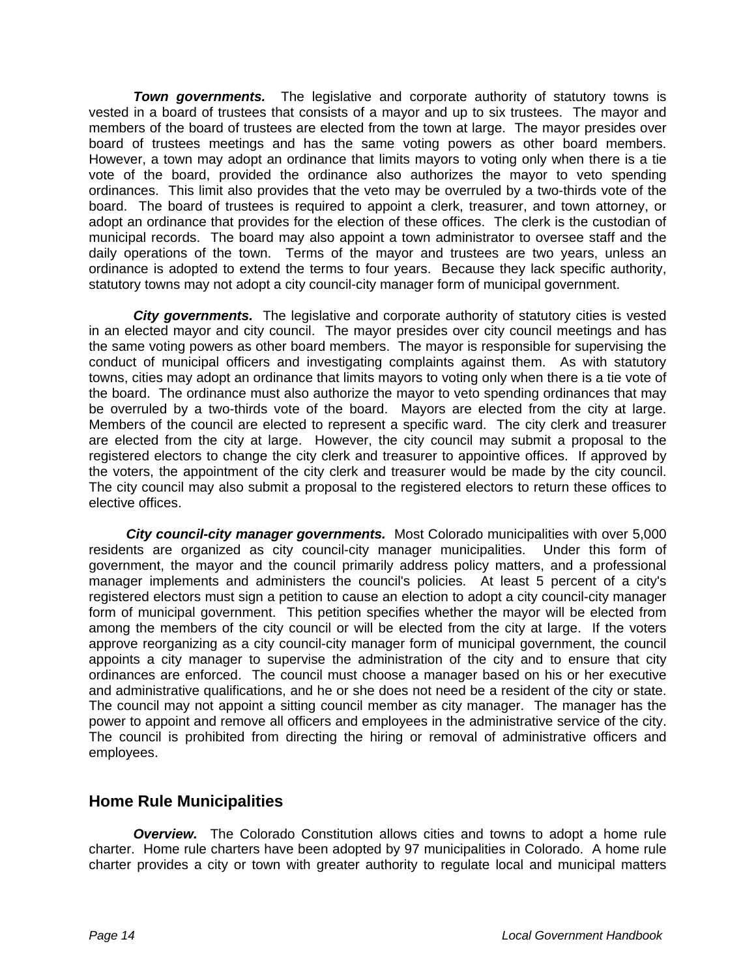**Town governments.** The legislative and corporate authority of statutory towns is vested in a board of trustees that consists of a mayor and up to six trustees. The mayor and members of the board of trustees are elected from the town at large. The mayor presides over board of trustees meetings and has the same voting powers as other board members. However, a town may adopt an ordinance that limits mayors to voting only when there is a tie vote of the board, provided the ordinance also authorizes the mayor to veto spending ordinances. This limit also provides that the veto may be overruled by a two-thirds vote of the board. The board of trustees is required to appoint a clerk, treasurer, and town attorney, or adopt an ordinance that provides for the election of these offices. The clerk is the custodian of municipal records. The board may also appoint a town administrator to oversee staff and the daily operations of the town. Terms of the mayor and trustees are two years, unless an ordinance is adopted to extend the terms to four years. Because they lack specific authority, statutory towns may not adopt a city council-city manager form of municipal government.

*City governments.* The legislative and corporate authority of statutory cities is vested in an elected mayor and city council. The mayor presides over city council meetings and has the same voting powers as other board members. The mayor is responsible for supervising the conduct of municipal officers and investigating complaints against them. As with statutory towns, cities may adopt an ordinance that limits mayors to voting only when there is a tie vote of the board. The ordinance must also authorize the mayor to veto spending ordinances that may be overruled by a two-thirds vote of the board. Mayors are elected from the city at large. Members of the council are elected to represent a specific ward. The city clerk and treasurer are elected from the city at large. However, the city council may submit a proposal to the registered electors to change the city clerk and treasurer to appointive offices. If approved by the voters, the appointment of the city clerk and treasurer would be made by the city council. The city council may also submit a proposal to the registered electors to return these offices to elective offices.

*City council-city manager governments.* Most Colorado municipalities with over 5,000 residents are organized as city council-city manager municipalities. Under this form of government, the mayor and the council primarily address policy matters, and a professional manager implements and administers the council's policies. At least 5 percent of a city's registered electors must sign a petition to cause an election to adopt a city council-city manager form of municipal government. This petition specifies whether the mayor will be elected from among the members of the city council or will be elected from the city at large. If the voters approve reorganizing as a city council-city manager form of municipal government, the council appoints a city manager to supervise the administration of the city and to ensure that city ordinances are enforced. The council must choose a manager based on his or her executive and administrative qualifications, and he or she does not need be a resident of the city or state. The council may not appoint a sitting council member as city manager. The manager has the power to appoint and remove all officers and employees in the administrative service of the city. The council is prohibited from directing the hiring or removal of administrative officers and employees.

#### **Home Rule Municipalities**

*Overview.* The Colorado Constitution allows cities and towns to adopt a home rule charter. Home rule charters have been adopted by 97 municipalities in Colorado. A home rule charter provides a city or town with greater authority to regulate local and municipal matters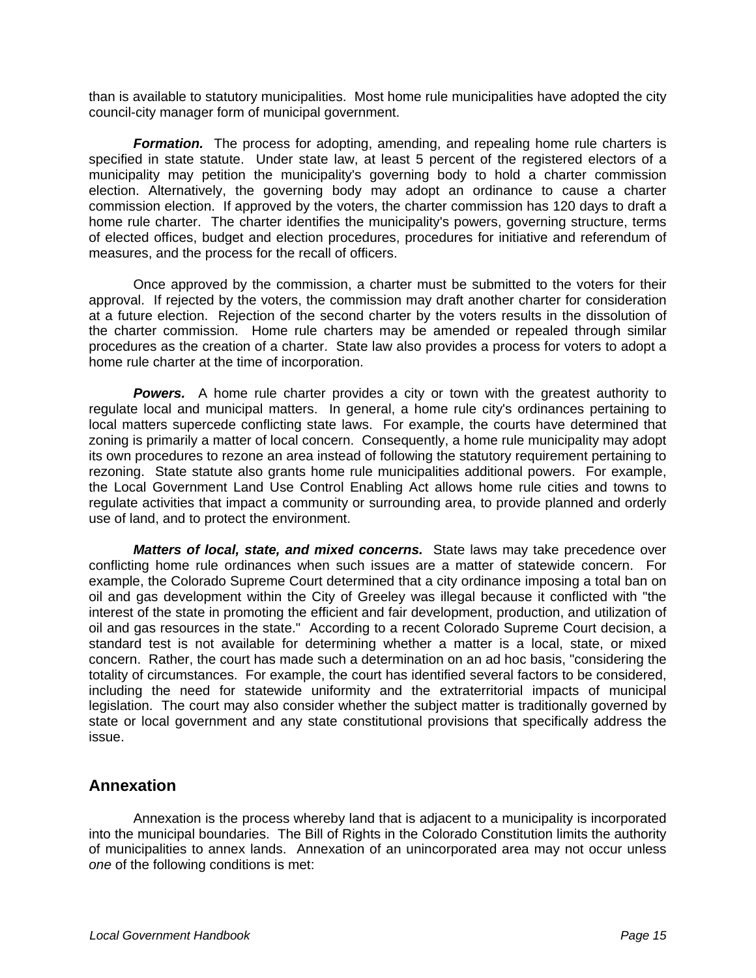than is available to statutory municipalities. Most home rule municipalities have adopted the city council-city manager form of municipal government.

*Formation.* The process for adopting, amending, and repealing home rule charters is specified in state statute. Under state law, at least 5 percent of the registered electors of a municipality may petition the municipality's governing body to hold a charter commission election. Alternatively, the governing body may adopt an ordinance to cause a charter commission election. If approved by the voters, the charter commission has 120 days to draft a home rule charter. The charter identifies the municipality's powers, governing structure, terms of elected offices, budget and election procedures, procedures for initiative and referendum of measures, and the process for the recall of officers.

 Once approved by the commission, a charter must be submitted to the voters for their approval. If rejected by the voters, the commission may draft another charter for consideration at a future election. Rejection of the second charter by the voters results in the dissolution of the charter commission. Home rule charters may be amended or repealed through similar procedures as the creation of a charter. State law also provides a process for voters to adopt a home rule charter at the time of incorporation.

*Powers.* A home rule charter provides a city or town with the greatest authority to regulate local and municipal matters. In general, a home rule city's ordinances pertaining to local matters supercede conflicting state laws. For example, the courts have determined that zoning is primarily a matter of local concern. Consequently, a home rule municipality may adopt its own procedures to rezone an area instead of following the statutory requirement pertaining to rezoning. State statute also grants home rule municipalities additional powers. For example, the Local Government Land Use Control Enabling Act allows home rule cities and towns to regulate activities that impact a community or surrounding area, to provide planned and orderly use of land, and to protect the environment.

*Matters of local, state, and mixed concerns.* State laws may take precedence over conflicting home rule ordinances when such issues are a matter of statewide concern. For example, the Colorado Supreme Court determined that a city ordinance imposing a total ban on oil and gas development within the City of Greeley was illegal because it conflicted with "the interest of the state in promoting the efficient and fair development, production, and utilization of oil and gas resources in the state." According to a recent Colorado Supreme Court decision, a standard test is not available for determining whether a matter is a local, state, or mixed concern. Rather, the court has made such a determination on an ad hoc basis, "considering the totality of circumstances. For example, the court has identified several factors to be considered, including the need for statewide uniformity and the extraterritorial impacts of municipal legislation. The court may also consider whether the subject matter is traditionally governed by state or local government and any state constitutional provisions that specifically address the issue.

#### **Annexation**

 Annexation is the process whereby land that is adjacent to a municipality is incorporated into the municipal boundaries. The Bill of Rights in the Colorado Constitution limits the authority of municipalities to annex lands. Annexation of an unincorporated area may not occur unless *one* of the following conditions is met: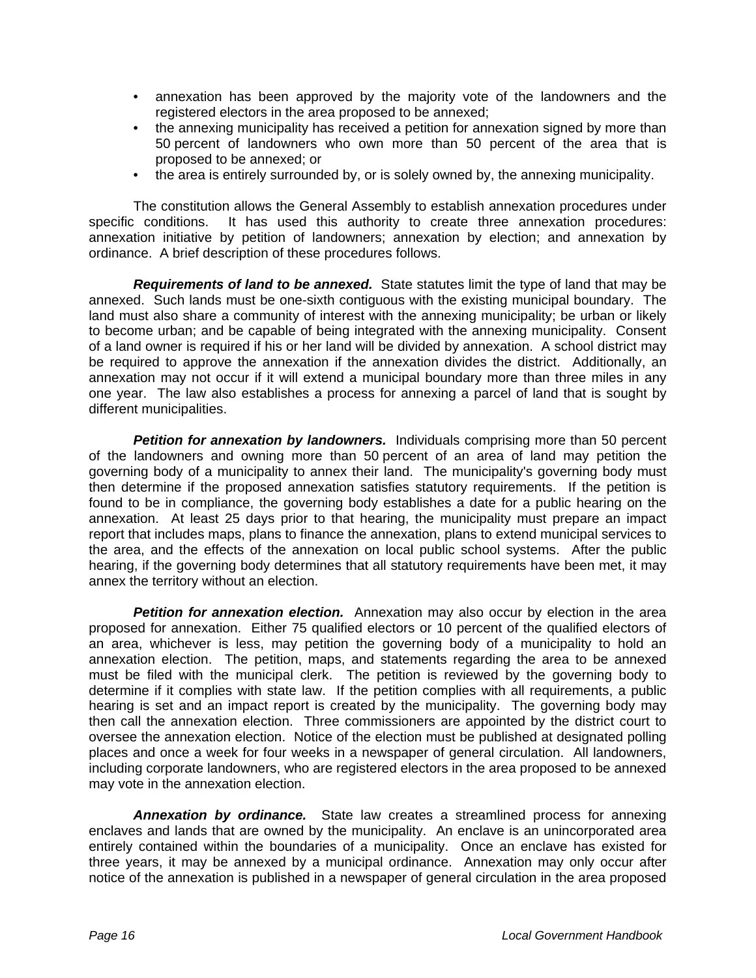- annexation has been approved by the majority vote of the landowners and the registered electors in the area proposed to be annexed;
- the annexing municipality has received a petition for annexation signed by more than 50 percent of landowners who own more than 50 percent of the area that is proposed to be annexed; or
- the area is entirely surrounded by, or is solely owned by, the annexing municipality.

 The constitution allows the General Assembly to establish annexation procedures under specific conditions. It has used this authority to create three annexation procedures: annexation initiative by petition of landowners; annexation by election; and annexation by ordinance. A brief description of these procedures follows.

*Requirements of land to be annexed.* State statutes limit the type of land that may be annexed. Such lands must be one-sixth contiguous with the existing municipal boundary. The land must also share a community of interest with the annexing municipality; be urban or likely to become urban; and be capable of being integrated with the annexing municipality. Consent of a land owner is required if his or her land will be divided by annexation. A school district may be required to approve the annexation if the annexation divides the district. Additionally, an annexation may not occur if it will extend a municipal boundary more than three miles in any one year. The law also establishes a process for annexing a parcel of land that is sought by different municipalities.

**Petition for annexation by landowners.** Individuals comprising more than 50 percent of the landowners and owning more than 50 percent of an area of land may petition the governing body of a municipality to annex their land. The municipality's governing body must then determine if the proposed annexation satisfies statutory requirements. If the petition is found to be in compliance, the governing body establishes a date for a public hearing on the annexation. At least 25 days prior to that hearing, the municipality must prepare an impact report that includes maps, plans to finance the annexation, plans to extend municipal services to the area, and the effects of the annexation on local public school systems. After the public hearing, if the governing body determines that all statutory requirements have been met, it may annex the territory without an election.

**Petition for annexation election.** Annexation may also occur by election in the area proposed for annexation. Either 75 qualified electors or 10 percent of the qualified electors of an area, whichever is less, may petition the governing body of a municipality to hold an annexation election. The petition, maps, and statements regarding the area to be annexed must be filed with the municipal clerk. The petition is reviewed by the governing body to determine if it complies with state law. If the petition complies with all requirements, a public hearing is set and an impact report is created by the municipality. The governing body may then call the annexation election. Three commissioners are appointed by the district court to oversee the annexation election. Notice of the election must be published at designated polling places and once a week for four weeks in a newspaper of general circulation. All landowners, including corporate landowners, who are registered electors in the area proposed to be annexed may vote in the annexation election.

*Annexation by ordinance.* State law creates a streamlined process for annexing enclaves and lands that are owned by the municipality. An enclave is an unincorporated area entirely contained within the boundaries of a municipality. Once an enclave has existed for three years, it may be annexed by a municipal ordinance. Annexation may only occur after notice of the annexation is published in a newspaper of general circulation in the area proposed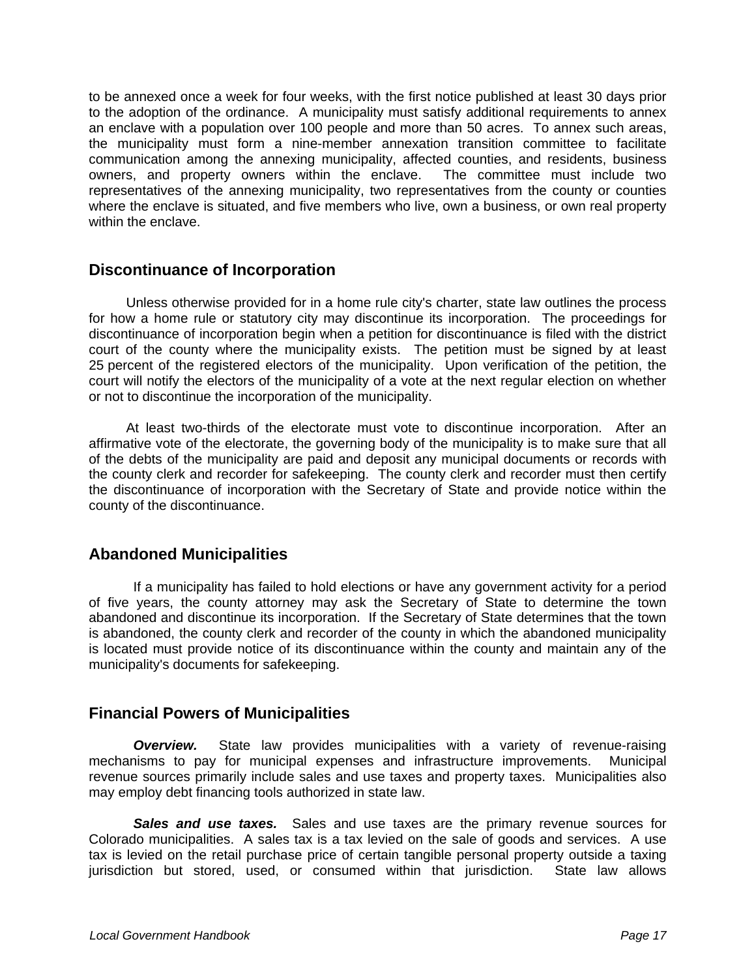to be annexed once a week for four weeks, with the first notice published at least 30 days prior to the adoption of the ordinance. A municipality must satisfy additional requirements to annex an enclave with a population over 100 people and more than 50 acres. To annex such areas, the municipality must form a nine-member annexation transition committee to facilitate communication among the annexing municipality, affected counties, and residents, business owners, and property owners within the enclave. The committee must include two representatives of the annexing municipality, two representatives from the county or counties where the enclave is situated, and five members who live, own a business, or own real property within the enclave.

#### **Discontinuance of Incorporation**

 Unless otherwise provided for in a home rule city's charter, state law outlines the process for how a home rule or statutory city may discontinue its incorporation. The proceedings for discontinuance of incorporation begin when a petition for discontinuance is filed with the district court of the county where the municipality exists. The petition must be signed by at least 25 percent of the registered electors of the municipality. Upon verification of the petition, the court will notify the electors of the municipality of a vote at the next regular election on whether or not to discontinue the incorporation of the municipality.

 At least two-thirds of the electorate must vote to discontinue incorporation. After an affirmative vote of the electorate, the governing body of the municipality is to make sure that all of the debts of the municipality are paid and deposit any municipal documents or records with the county clerk and recorder for safekeeping. The county clerk and recorder must then certify the discontinuance of incorporation with the Secretary of State and provide notice within the county of the discontinuance.

## **Abandoned Municipalities**

 If a municipality has failed to hold elections or have any government activity for a period of five years, the county attorney may ask the Secretary of State to determine the town abandoned and discontinue its incorporation. If the Secretary of State determines that the town is abandoned, the county clerk and recorder of the county in which the abandoned municipality is located must provide notice of its discontinuance within the county and maintain any of the municipality's documents for safekeeping.

## **Financial Powers of Municipalities**

*Overview.* State law provides municipalities with a variety of revenue-raising mechanisms to pay for municipal expenses and infrastructure improvements. Municipal revenue sources primarily include sales and use taxes and property taxes. Municipalities also may employ debt financing tools authorized in state law.

*Sales and use taxes.* Sales and use taxes are the primary revenue sources for Colorado municipalities. A sales tax is a tax levied on the sale of goods and services. A use tax is levied on the retail purchase price of certain tangible personal property outside a taxing jurisdiction but stored, used, or consumed within that jurisdiction. State law allows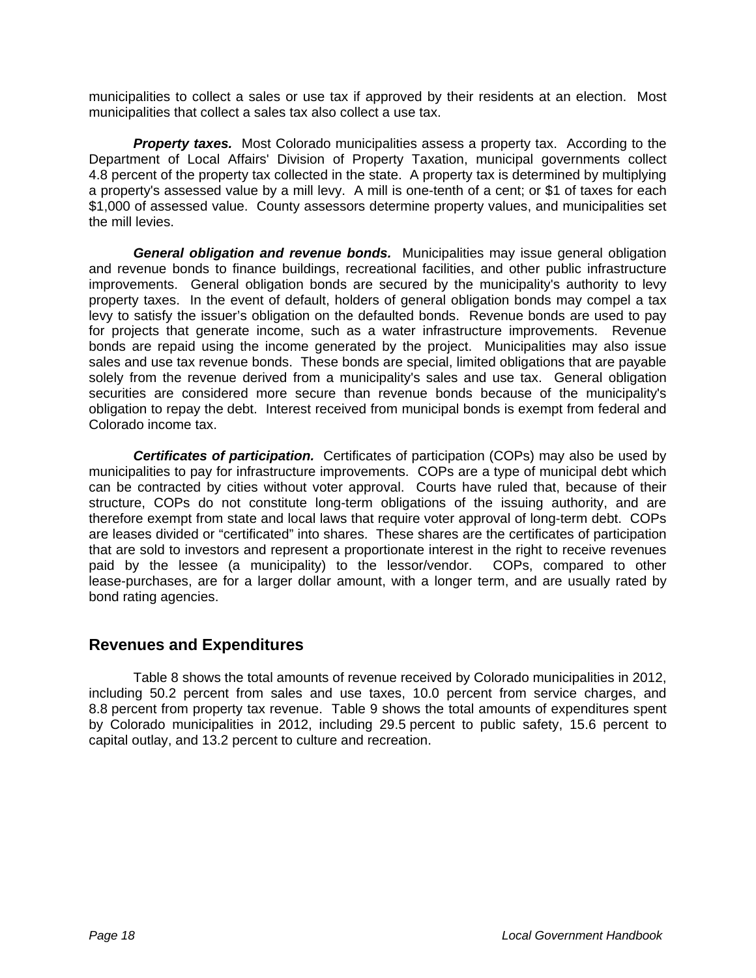municipalities to collect a sales or use tax if approved by their residents at an election. Most municipalities that collect a sales tax also collect a use tax.

**Property taxes.** Most Colorado municipalities assess a property tax. According to the Department of Local Affairs' Division of Property Taxation, municipal governments collect 4.8 percent of the property tax collected in the state. A property tax is determined by multiplying a property's assessed value by a mill levy. A mill is one-tenth of a cent; or \$1 of taxes for each \$1,000 of assessed value. County assessors determine property values, and municipalities set the mill levies.

*General obligation and revenue bonds.* Municipalities may issue general obligation and revenue bonds to finance buildings, recreational facilities, and other public infrastructure improvements. General obligation bonds are secured by the municipality's authority to levy property taxes. In the event of default, holders of general obligation bonds may compel a tax levy to satisfy the issuer's obligation on the defaulted bonds. Revenue bonds are used to pay for projects that generate income, such as a water infrastructure improvements. Revenue bonds are repaid using the income generated by the project. Municipalities may also issue sales and use tax revenue bonds. These bonds are special, limited obligations that are payable solely from the revenue derived from a municipality's sales and use tax. General obligation securities are considered more secure than revenue bonds because of the municipality's obligation to repay the debt. Interest received from municipal bonds is exempt from federal and Colorado income tax.

*Certificates of participation.* Certificates of participation (COPs) may also be used by municipalities to pay for infrastructure improvements. COPs are a type of municipal debt which can be contracted by cities without voter approval. Courts have ruled that, because of their structure, COPs do not constitute long-term obligations of the issuing authority, and are therefore exempt from state and local laws that require voter approval of long-term debt. COPs are leases divided or "certificated" into shares. These shares are the certificates of participation that are sold to investors and represent a proportionate interest in the right to receive revenues paid by the lessee (a municipality) to the lessor/vendor. COPs, compared to other lease-purchases, are for a larger dollar amount, with a longer term, and are usually rated by bond rating agencies.

#### **Revenues and Expenditures**

 Table 8 shows the total amounts of revenue received by Colorado municipalities in 2012, including 50.2 percent from sales and use taxes, 10.0 percent from service charges, and 8.8 percent from property tax revenue. Table 9 shows the total amounts of expenditures spent by Colorado municipalities in 2012, including 29.5 percent to public safety, 15.6 percent to capital outlay, and 13.2 percent to culture and recreation.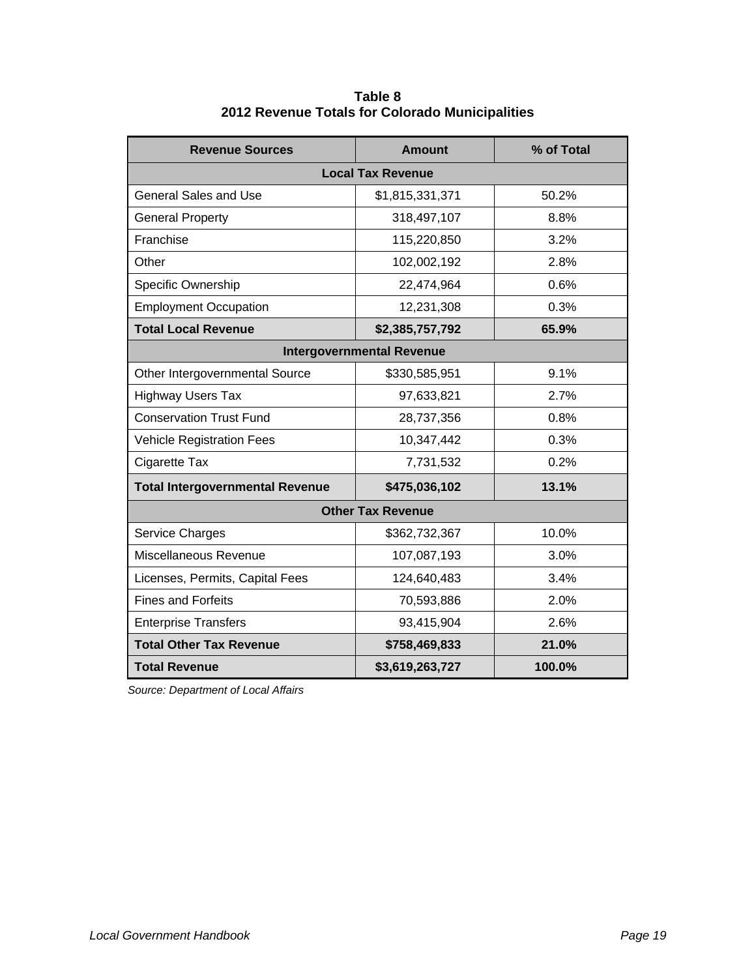| <b>Revenue Sources</b>                 | <b>Amount</b>            | % of Total |  |  |
|----------------------------------------|--------------------------|------------|--|--|
|                                        | <b>Local Tax Revenue</b> |            |  |  |
| <b>General Sales and Use</b>           | \$1,815,331,371          | 50.2%      |  |  |
| <b>General Property</b>                | 318,497,107              | 8.8%       |  |  |
| Franchise                              | 115,220,850              | 3.2%       |  |  |
| Other                                  | 102,002,192              | 2.8%       |  |  |
| Specific Ownership                     | 22,474,964               | 0.6%       |  |  |
| <b>Employment Occupation</b>           | 12,231,308               | 0.3%       |  |  |
| <b>Total Local Revenue</b>             | \$2,385,757,792          | 65.9%      |  |  |
| <b>Intergovernmental Revenue</b>       |                          |            |  |  |
| Other Intergovernmental Source         | \$330,585,951            | 9.1%       |  |  |
| <b>Highway Users Tax</b>               | 97,633,821               | 2.7%       |  |  |
| <b>Conservation Trust Fund</b>         | 28,737,356               | 0.8%       |  |  |
| <b>Vehicle Registration Fees</b>       | 10,347,442               | 0.3%       |  |  |
| Cigarette Tax                          | 7,731,532                | 0.2%       |  |  |
| <b>Total Intergovernmental Revenue</b> | \$475,036,102            | 13.1%      |  |  |
|                                        | <b>Other Tax Revenue</b> |            |  |  |
| Service Charges                        | \$362,732,367            | 10.0%      |  |  |
| Miscellaneous Revenue                  | 107,087,193              | 3.0%       |  |  |
| Licenses, Permits, Capital Fees        | 124,640,483              | 3.4%       |  |  |
| <b>Fines and Forfeits</b>              | 70,593,886               | 2.0%       |  |  |
| <b>Enterprise Transfers</b>            | 93,415,904               | 2.6%       |  |  |
| <b>Total Other Tax Revenue</b>         | \$758,469,833            | 21.0%      |  |  |
| <b>Total Revenue</b>                   | \$3,619,263,727          | 100.0%     |  |  |

**Table 8 2012 Revenue Totals for Colorado Municipalities** 

*Source: Department of Local Affairs*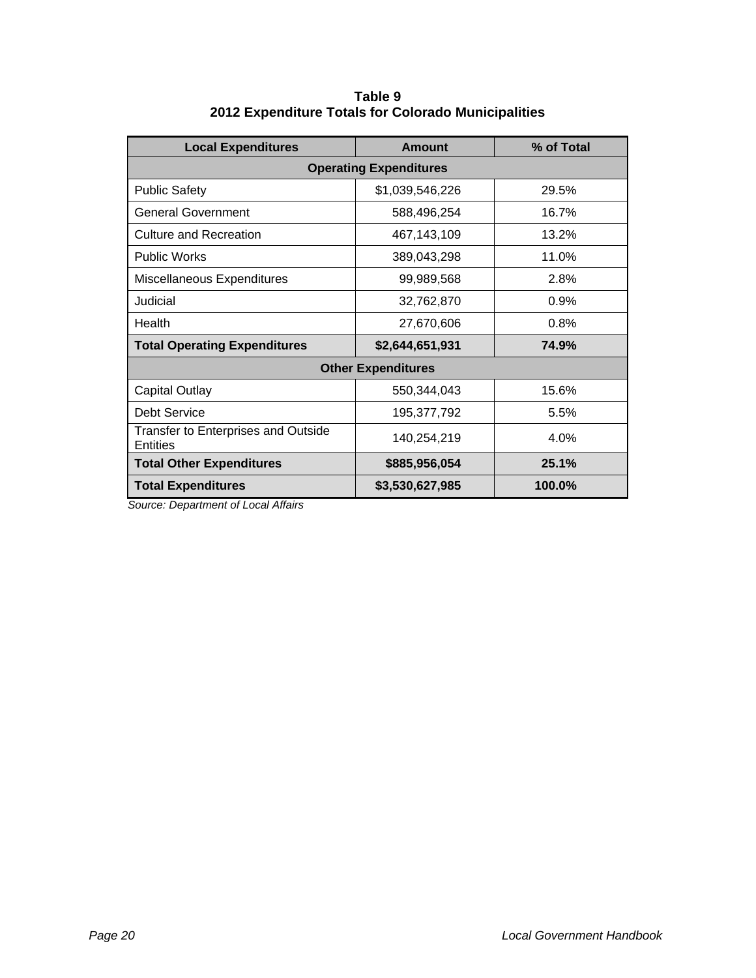| <b>Local Expenditures</b>                                     | <b>Amount</b>   | % of Total |  |
|---------------------------------------------------------------|-----------------|------------|--|
| <b>Operating Expenditures</b>                                 |                 |            |  |
| <b>Public Safety</b>                                          | \$1,039,546,226 | 29.5%      |  |
| <b>General Government</b>                                     | 588,496,254     | 16.7%      |  |
| Culture and Recreation                                        | 467,143,109     | 13.2%      |  |
| <b>Public Works</b>                                           | 389,043,298     | 11.0%      |  |
| Miscellaneous Expenditures                                    | 99,989,568      | 2.8%       |  |
| Judicial                                                      | 32,762,870      | 0.9%       |  |
| Health                                                        | 27,670,606      | 0.8%       |  |
| <b>Total Operating Expenditures</b>                           | \$2,644,651,931 | 74.9%      |  |
| <b>Other Expenditures</b>                                     |                 |            |  |
| <b>Capital Outlay</b>                                         | 550,344,043     | 15.6%      |  |
| Debt Service                                                  | 195,377,792     | 5.5%       |  |
| <b>Transfer to Enterprises and Outside</b><br><b>Entities</b> | 140,254,219     | 4.0%       |  |
| <b>Total Other Expenditures</b>                               | \$885,956,054   | 25.1%      |  |
| <b>Total Expenditures</b>                                     | \$3,530,627,985 | 100.0%     |  |

**Table 9 2012 Expenditure Totals for Colorado Municipalities** 

 *Source: Department of Local Affairs*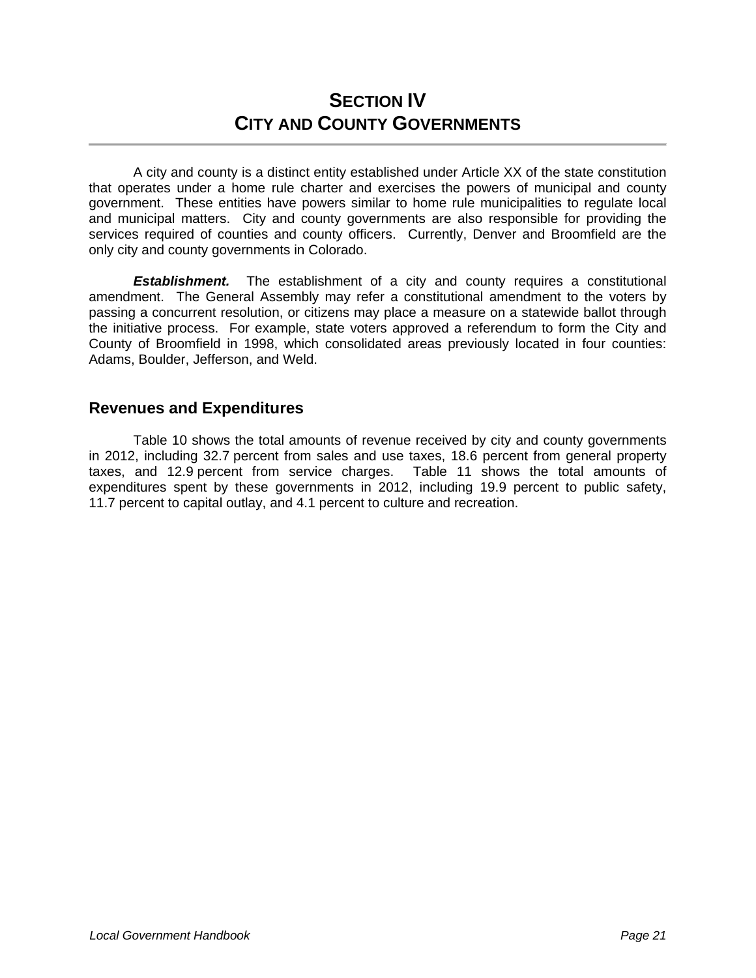# **SECTION IV CITY AND COUNTY GOVERNMENTS**

 A city and county is a distinct entity established under Article XX of the state constitution that operates under a home rule charter and exercises the powers of municipal and county government. These entities have powers similar to home rule municipalities to regulate local and municipal matters. City and county governments are also responsible for providing the services required of counties and county officers. Currently, Denver and Broomfield are the only city and county governments in Colorado.

**Establishment.** The establishment of a city and county requires a constitutional amendment. The General Assembly may refer a constitutional amendment to the voters by passing a concurrent resolution, or citizens may place a measure on a statewide ballot through the initiative process. For example, state voters approved a referendum to form the City and County of Broomfield in 1998, which consolidated areas previously located in four counties: Adams, Boulder, Jefferson, and Weld.

#### **Revenues and Expenditures**

 Table 10 shows the total amounts of revenue received by city and county governments in 2012, including 32.7 percent from sales and use taxes, 18.6 percent from general property taxes, and 12.9 percent from service charges. Table 11 shows the total amounts of expenditures spent by these governments in 2012, including 19.9 percent to public safety, 11.7 percent to capital outlay, and 4.1 percent to culture and recreation.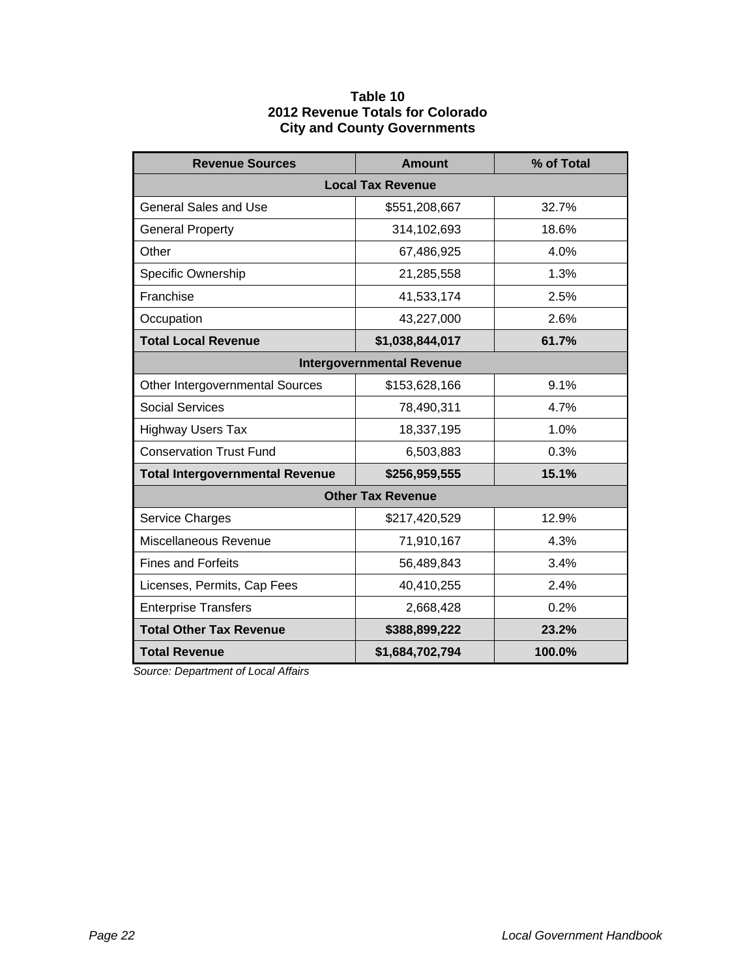#### **Table 10 2012 Revenue Totals for Colorado City and County Governments**

| <b>Revenue Sources</b>                 | <b>Amount</b>                    | % of Total |  |
|----------------------------------------|----------------------------------|------------|--|
|                                        | <b>Local Tax Revenue</b>         |            |  |
| <b>General Sales and Use</b>           | \$551,208,667                    | 32.7%      |  |
| <b>General Property</b>                | 314,102,693                      | 18.6%      |  |
| Other                                  | 67,486,925                       | 4.0%       |  |
| Specific Ownership                     | 21,285,558                       | 1.3%       |  |
| Franchise                              | 41,533,174                       | 2.5%       |  |
| Occupation                             | 43,227,000                       | 2.6%       |  |
| <b>Total Local Revenue</b>             | \$1,038,844,017                  | 61.7%      |  |
|                                        | <b>Intergovernmental Revenue</b> |            |  |
| Other Intergovernmental Sources        | \$153,628,166                    | 9.1%       |  |
| <b>Social Services</b>                 | 78,490,311                       | 4.7%       |  |
| <b>Highway Users Tax</b>               | 18,337,195                       | 1.0%       |  |
| <b>Conservation Trust Fund</b>         | 6,503,883                        | 0.3%       |  |
| <b>Total Intergovernmental Revenue</b> | \$256,959,555                    | 15.1%      |  |
| <b>Other Tax Revenue</b>               |                                  |            |  |
| Service Charges                        | \$217,420,529                    | 12.9%      |  |
| Miscellaneous Revenue                  | 71,910,167                       | 4.3%       |  |
| <b>Fines and Forfeits</b>              | 56,489,843                       | 3.4%       |  |
| Licenses, Permits, Cap Fees            | 40,410,255                       | 2.4%       |  |
| <b>Enterprise Transfers</b>            | 2,668,428                        | 0.2%       |  |
| <b>Total Other Tax Revenue</b>         | \$388,899,222                    | 23.2%      |  |
| <b>Total Revenue</b>                   | \$1,684,702,794                  | 100.0%     |  |

 *Source: Department of Local Affairs*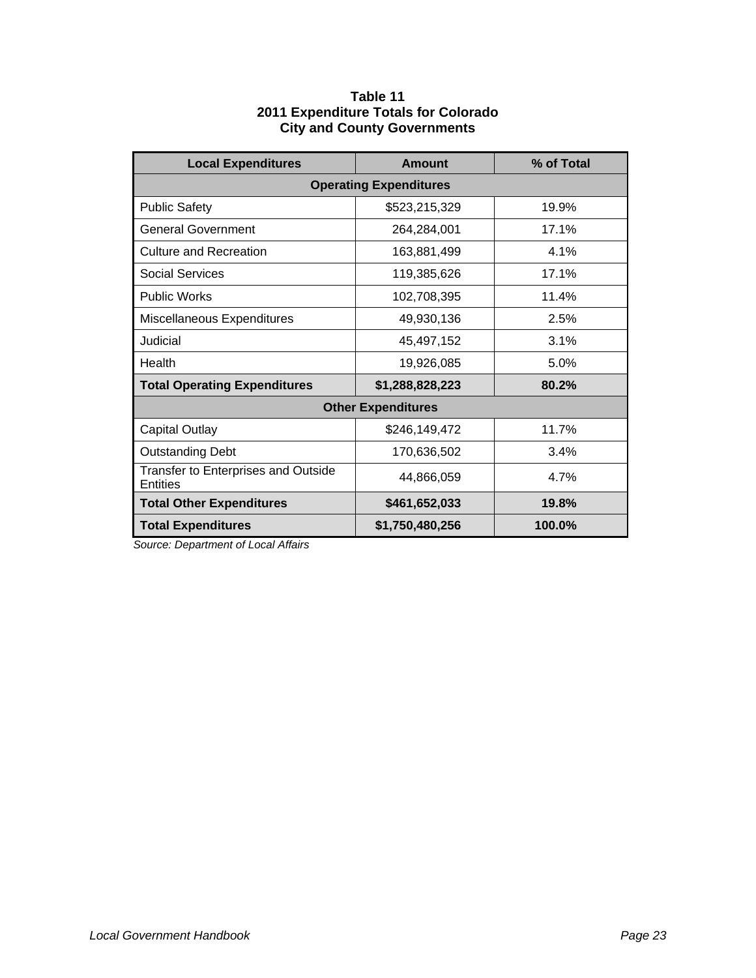#### **Table 11 2011 Expenditure Totals for Colorado City and County Governments**

| <b>Local Expenditures</b>                       | Amount          | % of Total |  |
|-------------------------------------------------|-----------------|------------|--|
| <b>Operating Expenditures</b>                   |                 |            |  |
| <b>Public Safety</b>                            | \$523,215,329   | 19.9%      |  |
| <b>General Government</b>                       | 264,284,001     | 17.1%      |  |
| Culture and Recreation                          | 163,881,499     | 4.1%       |  |
| Social Services                                 | 119,385,626     | 17.1%      |  |
| <b>Public Works</b>                             | 102,708,395     | 11.4%      |  |
| Miscellaneous Expenditures                      | 49,930,136      | 2.5%       |  |
| Judicial                                        | 45,497,152      | 3.1%       |  |
| Health                                          | 19,926,085      | 5.0%       |  |
| <b>Total Operating Expenditures</b>             | \$1,288,828,223 | 80.2%      |  |
| <b>Other Expenditures</b>                       |                 |            |  |
| <b>Capital Outlay</b>                           | \$246,149,472   | 11.7%      |  |
| <b>Outstanding Debt</b>                         | 170,636,502     | 3.4%       |  |
| Transfer to Enterprises and Outside<br>Entities | 44,866,059      | 4.7%       |  |
| <b>Total Other Expenditures</b>                 | \$461,652,033   | 19.8%      |  |
| <b>Total Expenditures</b>                       | \$1,750,480,256 | 100.0%     |  |

*Source: Department of Local Affairs*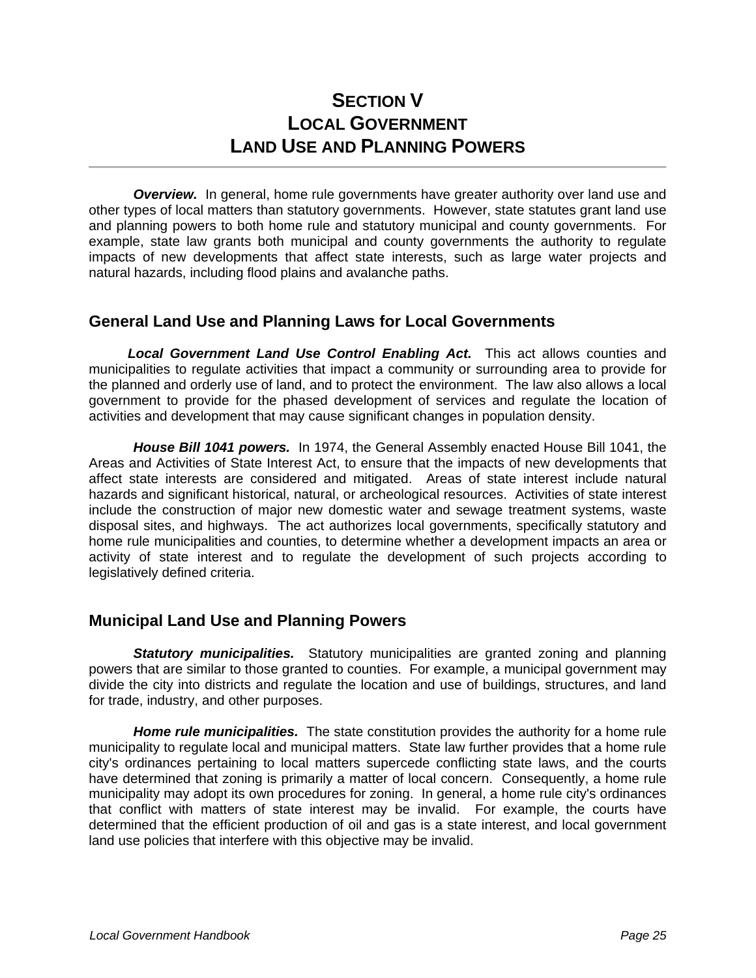# **SECTION V LOCAL GOVERNMENT LAND USE AND PLANNING POWERS**

**Overview.** In general, home rule governments have greater authority over land use and other types of local matters than statutory governments. However, state statutes grant land use and planning powers to both home rule and statutory municipal and county governments. For example, state law grants both municipal and county governments the authority to regulate impacts of new developments that affect state interests, such as large water projects and natural hazards, including flood plains and avalanche paths.

## **General Land Use and Planning Laws for Local Governments**

*Local Government Land Use Control Enabling Act.* This act allows counties and municipalities to regulate activities that impact a community or surrounding area to provide for the planned and orderly use of land, and to protect the environment. The law also allows a local government to provide for the phased development of services and regulate the location of activities and development that may cause significant changes in population density.

 *House Bill 1041 powers.* In 1974, the General Assembly enacted House Bill 1041, the Areas and Activities of State Interest Act, to ensure that the impacts of new developments that affect state interests are considered and mitigated. Areas of state interest include natural hazards and significant historical, natural, or archeological resources. Activities of state interest include the construction of major new domestic water and sewage treatment systems, waste disposal sites, and highways. The act authorizes local governments, specifically statutory and home rule municipalities and counties, to determine whether a development impacts an area or activity of state interest and to regulate the development of such projects according to legislatively defined criteria.

## **Municipal Land Use and Planning Powers**

**Statutory municipalities.** Statutory municipalities are granted zoning and planning powers that are similar to those granted to counties. For example, a municipal government may divide the city into districts and regulate the location and use of buildings, structures, and land for trade, industry, and other purposes.

 *Home rule municipalities.* The state constitution provides the authority for a home rule municipality to regulate local and municipal matters. State law further provides that a home rule city's ordinances pertaining to local matters supercede conflicting state laws, and the courts have determined that zoning is primarily a matter of local concern. Consequently, a home rule municipality may adopt its own procedures for zoning. In general, a home rule city's ordinances that conflict with matters of state interest may be invalid. For example, the courts have determined that the efficient production of oil and gas is a state interest, and local government land use policies that interfere with this objective may be invalid.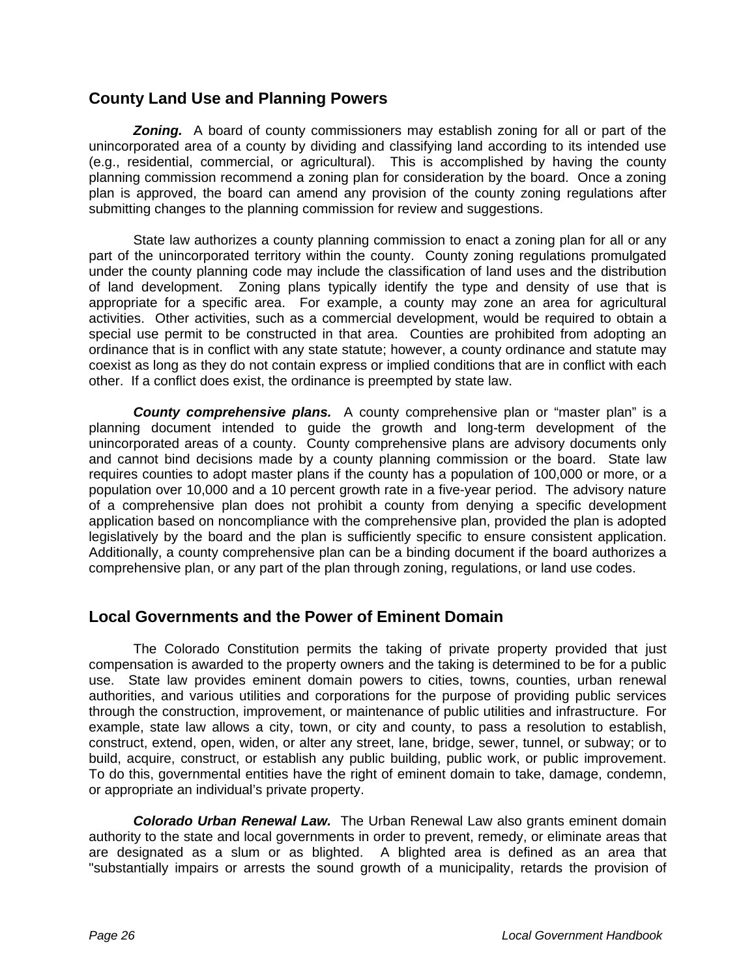## **County Land Use and Planning Powers**

*Zoning.* A board of county commissioners may establish zoning for all or part of the unincorporated area of a county by dividing and classifying land according to its intended use (e.g., residential, commercial, or agricultural). This is accomplished by having the county planning commission recommend a zoning plan for consideration by the board. Once a zoning plan is approved, the board can amend any provision of the county zoning regulations after submitting changes to the planning commission for review and suggestions.

State law authorizes a county planning commission to enact a zoning plan for all or any part of the unincorporated territory within the county. County zoning regulations promulgated under the county planning code may include the classification of land uses and the distribution of land development. Zoning plans typically identify the type and density of use that is appropriate for a specific area. For example, a county may zone an area for agricultural activities. Other activities, such as a commercial development, would be required to obtain a special use permit to be constructed in that area. Counties are prohibited from adopting an ordinance that is in conflict with any state statute; however, a county ordinance and statute may coexist as long as they do not contain express or implied conditions that are in conflict with each other. If a conflict does exist, the ordinance is preempted by state law.

**County comprehensive plans.** A county comprehensive plan or "master plan" is a planning document intended to guide the growth and long-term development of the unincorporated areas of a county. County comprehensive plans are advisory documents only and cannot bind decisions made by a county planning commission or the board. State law requires counties to adopt master plans if the county has a population of 100,000 or more, or a population over 10,000 and a 10 percent growth rate in a five-year period. The advisory nature of a comprehensive plan does not prohibit a county from denying a specific development application based on noncompliance with the comprehensive plan, provided the plan is adopted legislatively by the board and the plan is sufficiently specific to ensure consistent application. Additionally, a county comprehensive plan can be a binding document if the board authorizes a comprehensive plan, or any part of the plan through zoning, regulations, or land use codes.

## **Local Governments and the Power of Eminent Domain**

 The Colorado Constitution permits the taking of private property provided that just compensation is awarded to the property owners and the taking is determined to be for a public use. State law provides eminent domain powers to cities, towns, counties, urban renewal authorities, and various utilities and corporations for the purpose of providing public services through the construction, improvement, or maintenance of public utilities and infrastructure. For example, state law allows a city, town, or city and county, to pass a resolution to establish, construct, extend, open, widen, or alter any street, lane, bridge, sewer, tunnel, or subway; or to build, acquire, construct, or establish any public building, public work, or public improvement. To do this, governmental entities have the right of eminent domain to take, damage, condemn, or appropriate an individual's private property.

*Colorado Urban Renewal Law.* The Urban Renewal Law also grants eminent domain authority to the state and local governments in order to prevent, remedy, or eliminate areas that are designated as a slum or as blighted. A blighted area is defined as an area that "substantially impairs or arrests the sound growth of a municipality, retards the provision of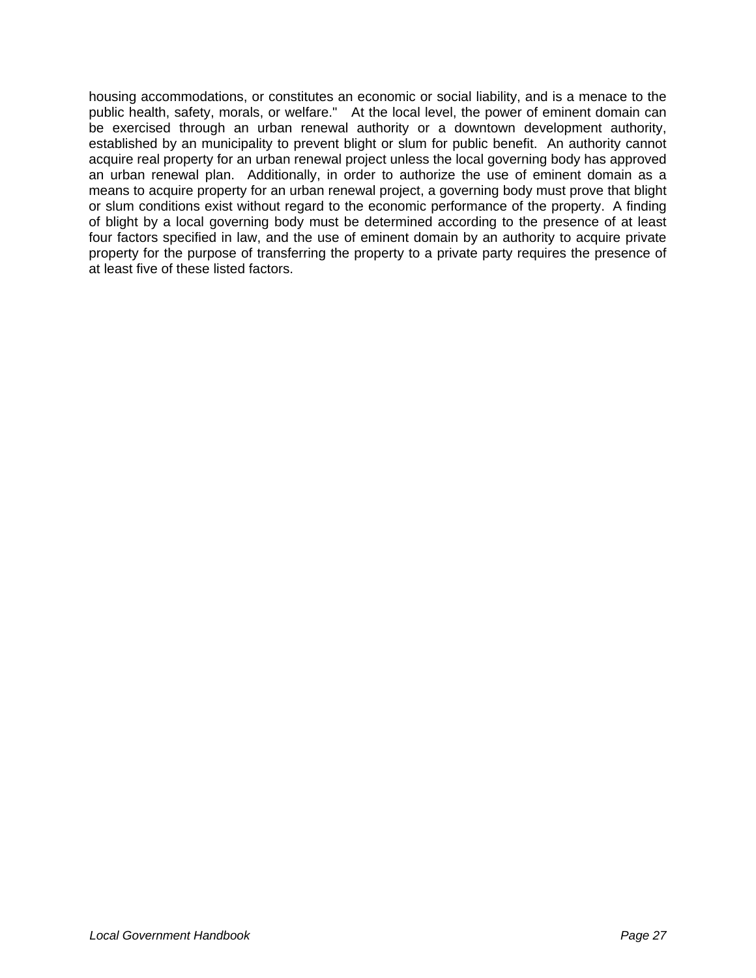housing accommodations, or constitutes an economic or social liability, and is a menace to the public health, safety, morals, or welfare." At the local level, the power of eminent domain can be exercised through an urban renewal authority or a downtown development authority, established by an municipality to prevent blight or slum for public benefit. An authority cannot acquire real property for an urban renewal project unless the local governing body has approved an urban renewal plan. Additionally, in order to authorize the use of eminent domain as a means to acquire property for an urban renewal project, a governing body must prove that blight or slum conditions exist without regard to the economic performance of the property. A finding of blight by a local governing body must be determined according to the presence of at least four factors specified in law, and the use of eminent domain by an authority to acquire private property for the purpose of transferring the property to a private party requires the presence of at least five of these listed factors.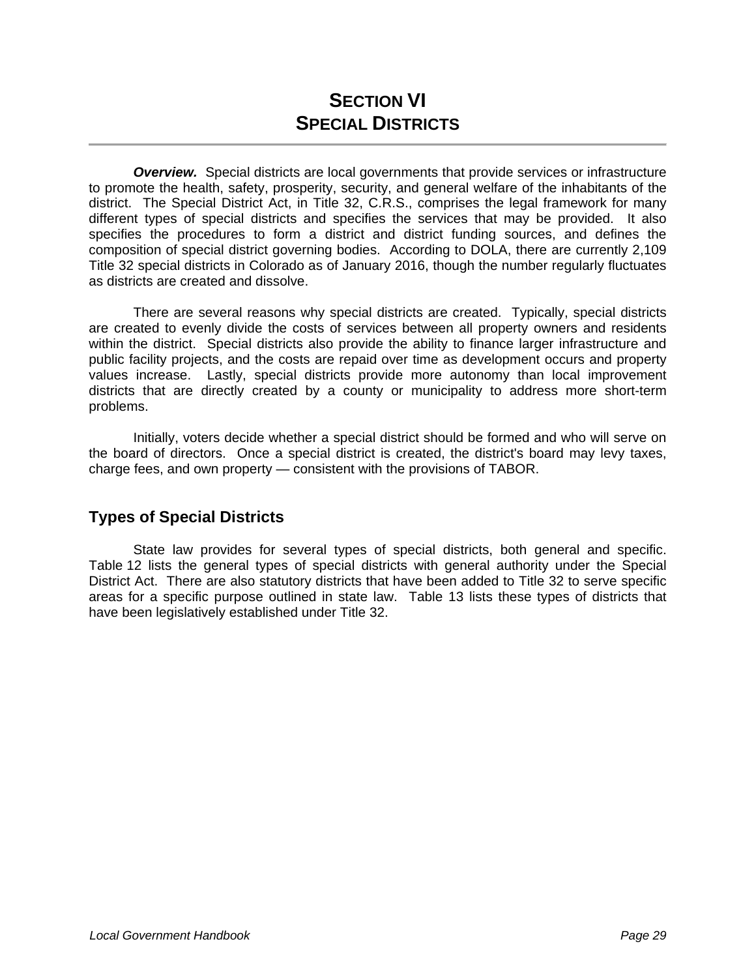# **SECTION VI SPECIAL DISTRICTS**

**Overview.** Special districts are local governments that provide services or infrastructure to promote the health, safety, prosperity, security, and general welfare of the inhabitants of the district. The Special District Act, in Title 32, C.R.S., comprises the legal framework for many different types of special districts and specifies the services that may be provided. It also specifies the procedures to form a district and district funding sources, and defines the composition of special district governing bodies. According to DOLA, there are currently 2,109 Title 32 special districts in Colorado as of January 2016, though the number regularly fluctuates as districts are created and dissolve.

 There are several reasons why special districts are created. Typically, special districts are created to evenly divide the costs of services between all property owners and residents within the district. Special districts also provide the ability to finance larger infrastructure and public facility projects, and the costs are repaid over time as development occurs and property values increase. Lastly, special districts provide more autonomy than local improvement districts that are directly created by a county or municipality to address more short-term problems.

 Initially, voters decide whether a special district should be formed and who will serve on the board of directors. Once a special district is created, the district's board may levy taxes, charge fees, and own property — consistent with the provisions of TABOR.

# **Types of Special Districts**

State law provides for several types of special districts, both general and specific. Table 12 lists the general types of special districts with general authority under the Special District Act. There are also statutory districts that have been added to Title 32 to serve specific areas for a specific purpose outlined in state law. Table 13 lists these types of districts that have been legislatively established under Title 32.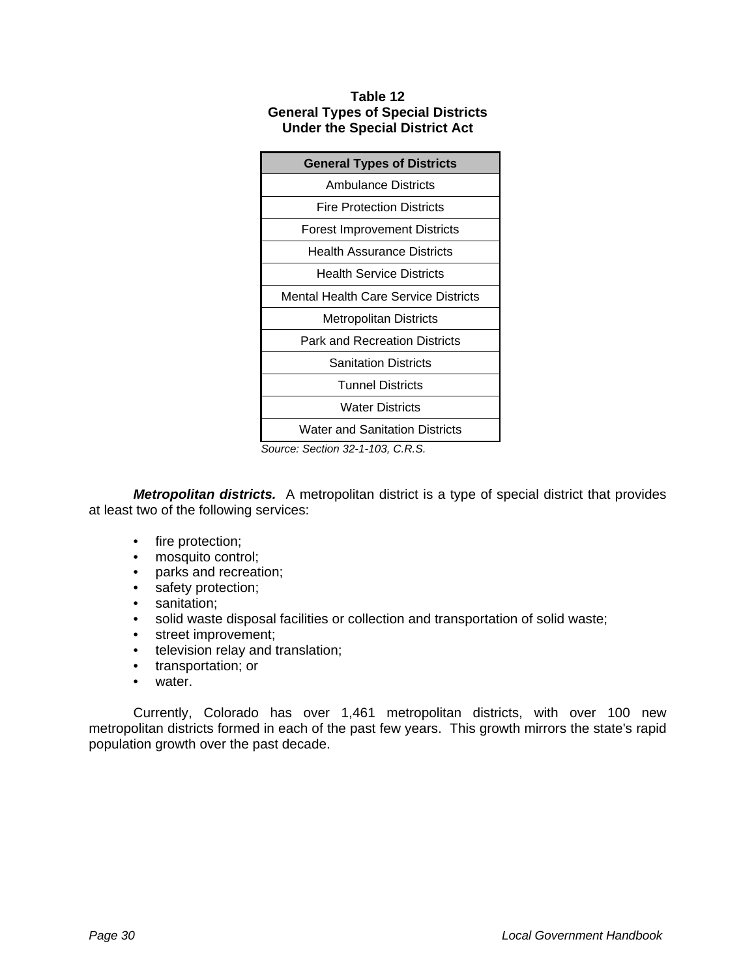#### **Table 12 General Types of Special Districts Under the Special District Act**

| <b>General Types of Districts</b>     |  |  |
|---------------------------------------|--|--|
| Ambulance Districts                   |  |  |
| Fire Protection Districts             |  |  |
| <b>Forest Improvement Districts</b>   |  |  |
| Health Assurance Districts            |  |  |
| <b>Health Service Districts</b>       |  |  |
| Mental Health Care Service Districts  |  |  |
| Metropolitan Districts                |  |  |
| Park and Recreation Districts         |  |  |
| <b>Sanitation Districts</b>           |  |  |
| <b>Tunnel Districts</b>               |  |  |
| <b>Water Districts</b>                |  |  |
| <b>Water and Sanitation Districts</b> |  |  |

*Source: Section 32-1-103, C.R.S.* 

*Metropolitan districts.* A metropolitan district is a type of special district that provides at least two of the following services:

- fire protection;
- mosquito control;
- parks and recreation;
- safety protection;
- sanitation;
- solid waste disposal facilities or collection and transportation of solid waste;
- street improvement;
- television relay and translation;
- transportation; or
- water.

 Currently, Colorado has over 1,461 metropolitan districts, with over 100 new metropolitan districts formed in each of the past few years. This growth mirrors the state's rapid population growth over the past decade.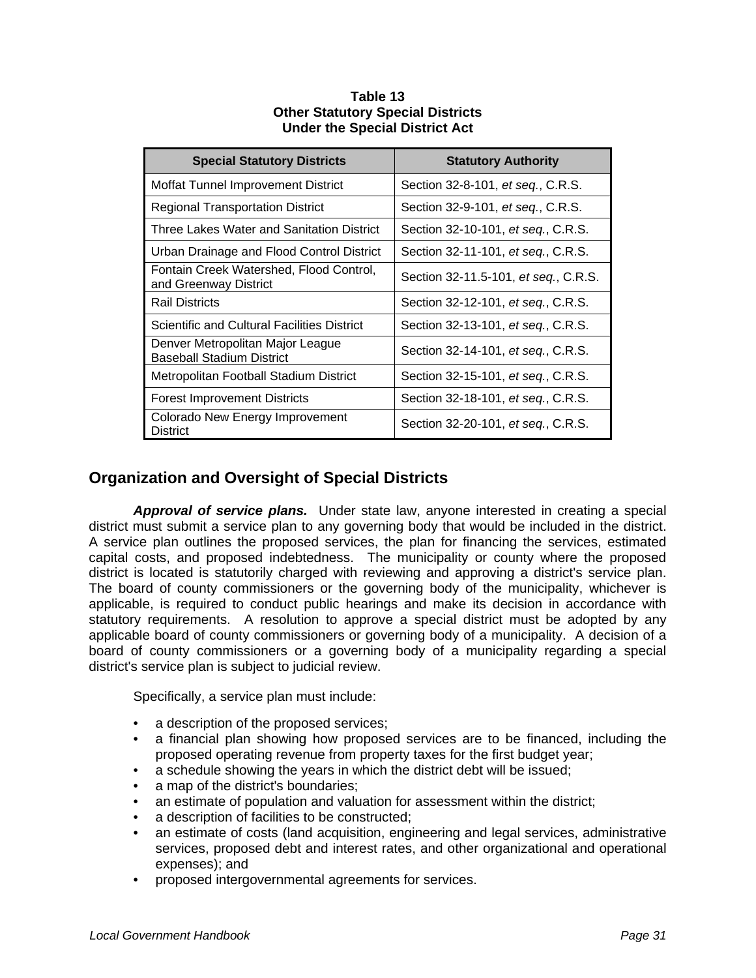| <b>Special Statutory Districts</b>                                   | <b>Statutory Authority</b>           |
|----------------------------------------------------------------------|--------------------------------------|
| Moffat Tunnel Improvement District                                   | Section 32-8-101, et seq., C.R.S.    |
| Regional Transportation District                                     | Section 32-9-101, et seq., C.R.S.    |
| Three Lakes Water and Sanitation District                            | Section 32-10-101, et seq., C.R.S.   |
| Urban Drainage and Flood Control District                            | Section 32-11-101, et seq., C.R.S.   |
| Fontain Creek Watershed, Flood Control,<br>and Greenway District     | Section 32-11.5-101, et seq., C.R.S. |
| <b>Rail Districts</b>                                                | Section 32-12-101, et seq., C.R.S.   |
| <b>Scientific and Cultural Facilities District</b>                   | Section 32-13-101, et seq., C.R.S.   |
| Denver Metropolitan Major League<br><b>Baseball Stadium District</b> | Section 32-14-101, et seq., C.R.S.   |
| Metropolitan Football Stadium District                               | Section 32-15-101, et seq., C.R.S.   |
| <b>Forest Improvement Districts</b>                                  | Section 32-18-101, et seq., C.R.S.   |
| Colorado New Energy Improvement<br><b>District</b>                   | Section 32-20-101, et seq., C.R.S.   |

#### **Table 13 Other Statutory Special Districts Under the Special District Act**

# **Organization and Oversight of Special Districts**

*Approval of service plans.* Under state law, anyone interested in creating a special district must submit a service plan to any governing body that would be included in the district. A service plan outlines the proposed services, the plan for financing the services, estimated capital costs, and proposed indebtedness. The municipality or county where the proposed district is located is statutorily charged with reviewing and approving a district's service plan. The board of county commissioners or the governing body of the municipality, whichever is applicable, is required to conduct public hearings and make its decision in accordance with statutory requirements. A resolution to approve a special district must be adopted by any applicable board of county commissioners or governing body of a municipality. A decision of a board of county commissioners or a governing body of a municipality regarding a special district's service plan is subject to judicial review.

Specifically, a service plan must include:

- a description of the proposed services;
- a financial plan showing how proposed services are to be financed, including the proposed operating revenue from property taxes for the first budget year;
- a schedule showing the years in which the district debt will be issued;
- a map of the district's boundaries;
- an estimate of population and valuation for assessment within the district;
- a description of facilities to be constructed;
- an estimate of costs (land acquisition, engineering and legal services, administrative services, proposed debt and interest rates, and other organizational and operational expenses); and
- proposed intergovernmental agreements for services.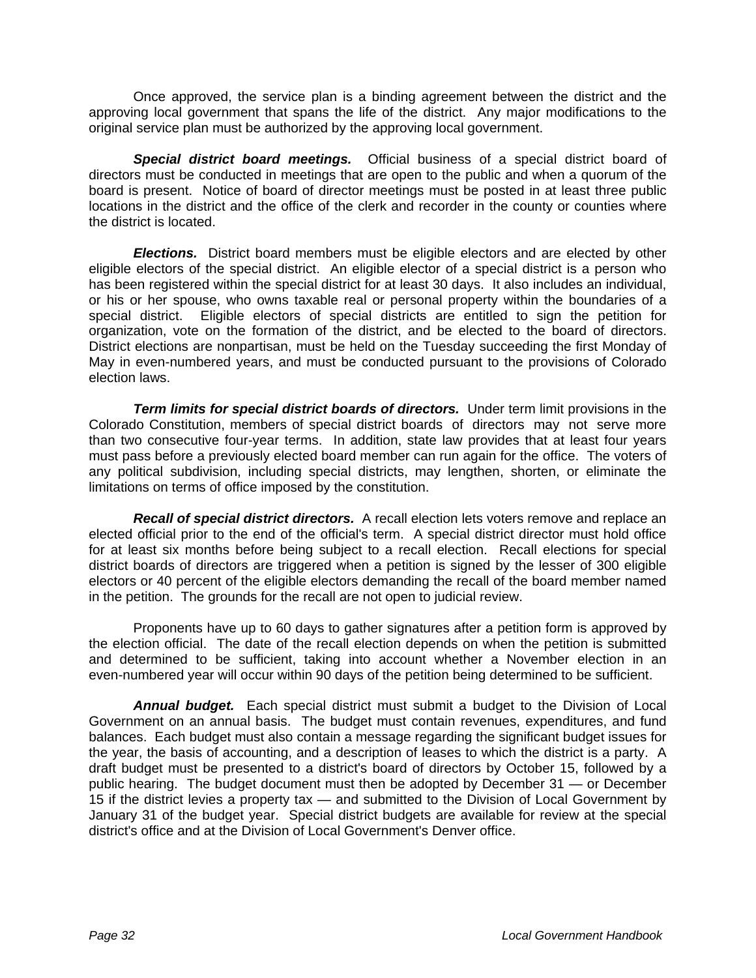Once approved, the service plan is a binding agreement between the district and the approving local government that spans the life of the district. Any major modifications to the original service plan must be authorized by the approving local government.

*Special district board meetings.* Official business of a special district board of directors must be conducted in meetings that are open to the public and when a quorum of the board is present. Notice of board of director meetings must be posted in at least three public locations in the district and the office of the clerk and recorder in the county or counties where the district is located.

*Elections.* District board members must be eligible electors and are elected by other eligible electors of the special district. An eligible elector of a special district is a person who has been registered within the special district for at least 30 days. It also includes an individual, or his or her spouse, who owns taxable real or personal property within the boundaries of a special district. Eligible electors of special districts are entitled to sign the petition for organization, vote on the formation of the district, and be elected to the board of directors. District elections are nonpartisan, must be held on the Tuesday succeeding the first Monday of May in even-numbered years, and must be conducted pursuant to the provisions of Colorado election laws.

**Term limits for special district boards of directors.** Under term limit provisions in the Colorado Constitution, members of special district boards of directors may not serve more than two consecutive four-year terms. In addition, state law provides that at least four years must pass before a previously elected board member can run again for the office. The voters of any political subdivision, including special districts, may lengthen, shorten, or eliminate the limitations on terms of office imposed by the constitution.

*Recall of special district directors.* A recall election lets voters remove and replace an elected official prior to the end of the official's term. A special district director must hold office for at least six months before being subject to a recall election. Recall elections for special district boards of directors are triggered when a petition is signed by the lesser of 300 eligible electors or 40 percent of the eligible electors demanding the recall of the board member named in the petition. The grounds for the recall are not open to judicial review.

 Proponents have up to 60 days to gather signatures after a petition form is approved by the election official. The date of the recall election depends on when the petition is submitted and determined to be sufficient, taking into account whether a November election in an even-numbered year will occur within 90 days of the petition being determined to be sufficient.

*Annual budget.* Each special district must submit a budget to the Division of Local Government on an annual basis. The budget must contain revenues, expenditures, and fund balances. Each budget must also contain a message regarding the significant budget issues for the year, the basis of accounting, and a description of leases to which the district is a party. A draft budget must be presented to a district's board of directors by October 15, followed by a public hearing. The budget document must then be adopted by December 31 — or December 15 if the district levies a property tax — and submitted to the Division of Local Government by January 31 of the budget year. Special district budgets are available for review at the special district's office and at the Division of Local Government's Denver office.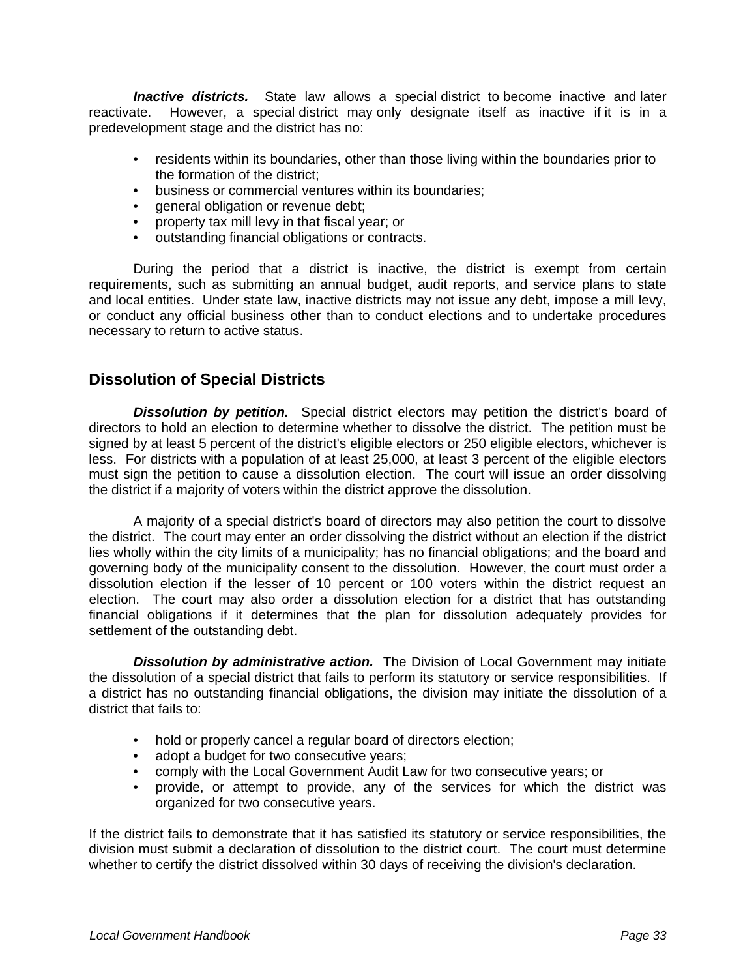*Inactive districts.* State law allows a special district to become inactive and later reactivate. However, a special district may only designate itself as inactive if it is in a predevelopment stage and the district has no:

- residents within its boundaries, other than those living within the boundaries prior to the formation of the district;
- business or commercial ventures within its boundaries;
- general obligation or revenue debt;
- property tax mill levy in that fiscal year; or
- outstanding financial obligations or contracts.

 During the period that a district is inactive, the district is exempt from certain requirements, such as submitting an annual budget, audit reports, and service plans to state and local entities. Under state law, inactive districts may not issue any debt, impose a mill levy, or conduct any official business other than to conduct elections and to undertake procedures necessary to return to active status.

## **Dissolution of Special Districts**

**Dissolution by petition.** Special district electors may petition the district's board of directors to hold an election to determine whether to dissolve the district. The petition must be signed by at least 5 percent of the district's eligible electors or 250 eligible electors, whichever is less. For districts with a population of at least 25,000, at least 3 percent of the eligible electors must sign the petition to cause a dissolution election. The court will issue an order dissolving the district if a majority of voters within the district approve the dissolution.

 A majority of a special district's board of directors may also petition the court to dissolve the district. The court may enter an order dissolving the district without an election if the district lies wholly within the city limits of a municipality; has no financial obligations; and the board and governing body of the municipality consent to the dissolution. However, the court must order a dissolution election if the lesser of 10 percent or 100 voters within the district request an election. The court may also order a dissolution election for a district that has outstanding financial obligations if it determines that the plan for dissolution adequately provides for settlement of the outstanding debt.

*Dissolution by administrative action.* The Division of Local Government may initiate the dissolution of a special district that fails to perform its statutory or service responsibilities. If a district has no outstanding financial obligations, the division may initiate the dissolution of a district that fails to:

- hold or properly cancel a regular board of directors election;
- adopt a budget for two consecutive years;
- comply with the Local Government Audit Law for two consecutive years; or
- provide, or attempt to provide, any of the services for which the district was organized for two consecutive years.

If the district fails to demonstrate that it has satisfied its statutory or service responsibilities, the division must submit a declaration of dissolution to the district court. The court must determine whether to certify the district dissolved within 30 days of receiving the division's declaration.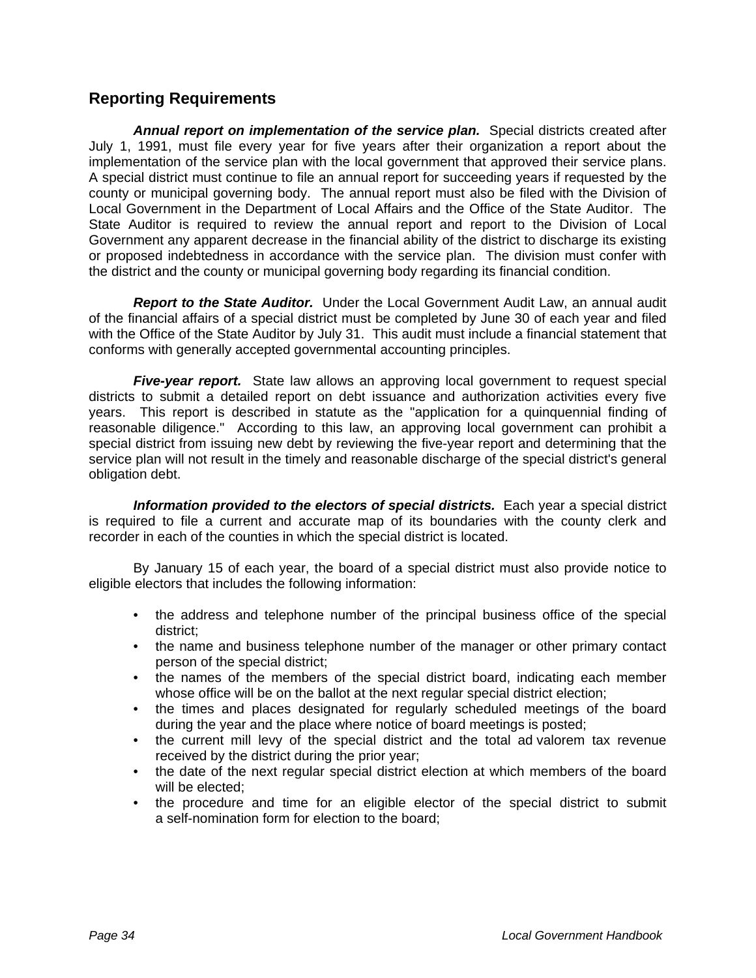## **Reporting Requirements**

*Annual report on implementation of the service plan.* Special districts created after July 1, 1991, must file every year for five years after their organization a report about the implementation of the service plan with the local government that approved their service plans. A special district must continue to file an annual report for succeeding years if requested by the county or municipal governing body. The annual report must also be filed with the Division of Local Government in the Department of Local Affairs and the Office of the State Auditor. The State Auditor is required to review the annual report and report to the Division of Local Government any apparent decrease in the financial ability of the district to discharge its existing or proposed indebtedness in accordance with the service plan. The division must confer with the district and the county or municipal governing body regarding its financial condition.

*Report to the State Auditor.* Under the Local Government Audit Law, an annual audit of the financial affairs of a special district must be completed by June 30 of each year and filed with the Office of the State Auditor by July 31. This audit must include a financial statement that conforms with generally accepted governmental accounting principles.

*Five-year report.* State law allows an approving local government to request special districts to submit a detailed report on debt issuance and authorization activities every five years. This report is described in statute as the "application for a quinquennial finding of reasonable diligence." According to this law, an approving local government can prohibit a special district from issuing new debt by reviewing the five-year report and determining that the service plan will not result in the timely and reasonable discharge of the special district's general obligation debt.

*Information provided to the electors of special districts.* Each year a special district is required to file a current and accurate map of its boundaries with the county clerk and recorder in each of the counties in which the special district is located.

By January 15 of each year, the board of a special district must also provide notice to eligible electors that includes the following information:

- the address and telephone number of the principal business office of the special district;
- the name and business telephone number of the manager or other primary contact person of the special district;
- the names of the members of the special district board, indicating each member whose office will be on the ballot at the next regular special district election;
- the times and places designated for regularly scheduled meetings of the board during the year and the place where notice of board meetings is posted;
- the current mill levy of the special district and the total ad valorem tax revenue received by the district during the prior year;
- the date of the next regular special district election at which members of the board will be elected;
- the procedure and time for an eligible elector of the special district to submit a self-nomination form for election to the board;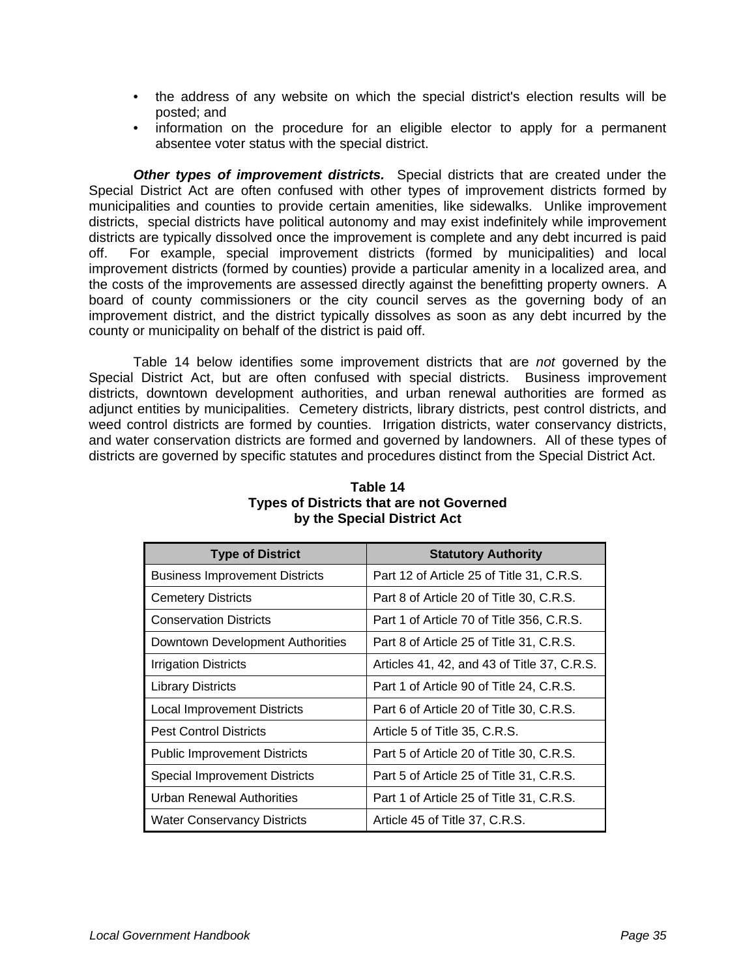- the address of any website on which the special district's election results will be posted; and
- information on the procedure for an eligible elector to apply for a permanent absentee voter status with the special district.

*Other types of improvement districts.* Special districts that are created under the Special District Act are often confused with other types of improvement districts formed by municipalities and counties to provide certain amenities, like sidewalks. Unlike improvement districts, special districts have political autonomy and may exist indefinitely while improvement districts are typically dissolved once the improvement is complete and any debt incurred is paid off. For example, special improvement districts (formed by municipalities) and local improvement districts (formed by counties) provide a particular amenity in a localized area, and the costs of the improvements are assessed directly against the benefitting property owners. A board of county commissioners or the city council serves as the governing body of an improvement district, and the district typically dissolves as soon as any debt incurred by the county or municipality on behalf of the district is paid off.

 Table 14 below identifies some improvement districts that are *not* governed by the Special District Act, but are often confused with special districts. Business improvement districts, downtown development authorities, and urban renewal authorities are formed as adjunct entities by municipalities. Cemetery districts, library districts, pest control districts, and weed control districts are formed by counties. Irrigation districts, water conservancy districts, and water conservation districts are formed and governed by landowners. All of these types of districts are governed by specific statutes and procedures distinct from the Special District Act.

| <b>Type of District</b>               | <b>Statutory Authority</b>                  |
|---------------------------------------|---------------------------------------------|
| <b>Business Improvement Districts</b> | Part 12 of Article 25 of Title 31, C.R.S.   |
| <b>Cemetery Districts</b>             | Part 8 of Article 20 of Title 30, C.R.S.    |
| <b>Conservation Districts</b>         | Part 1 of Article 70 of Title 356, C.R.S.   |
| Downtown Development Authorities      | Part 8 of Article 25 of Title 31, C.R.S.    |
| Irrigation Districts                  | Articles 41, 42, and 43 of Title 37, C.R.S. |
| <b>Library Districts</b>              | Part 1 of Article 90 of Title 24, C.R.S.    |
| <b>Local Improvement Districts</b>    | Part 6 of Article 20 of Title 30, C.R.S.    |
| <b>Pest Control Districts</b>         | Article 5 of Title 35, C.R.S.               |
| <b>Public Improvement Districts</b>   | Part 5 of Article 20 of Title 30, C.R.S.    |
| <b>Special Improvement Districts</b>  | Part 5 of Article 25 of Title 31, C.R.S.    |
| Urban Renewal Authorities             | Part 1 of Article 25 of Title 31, C.R.S.    |
| Water Conservancy Districts           | Article 45 of Title 37, C.R.S.              |

#### **Table 14 Types of Districts that are not Governed by the Special District Act**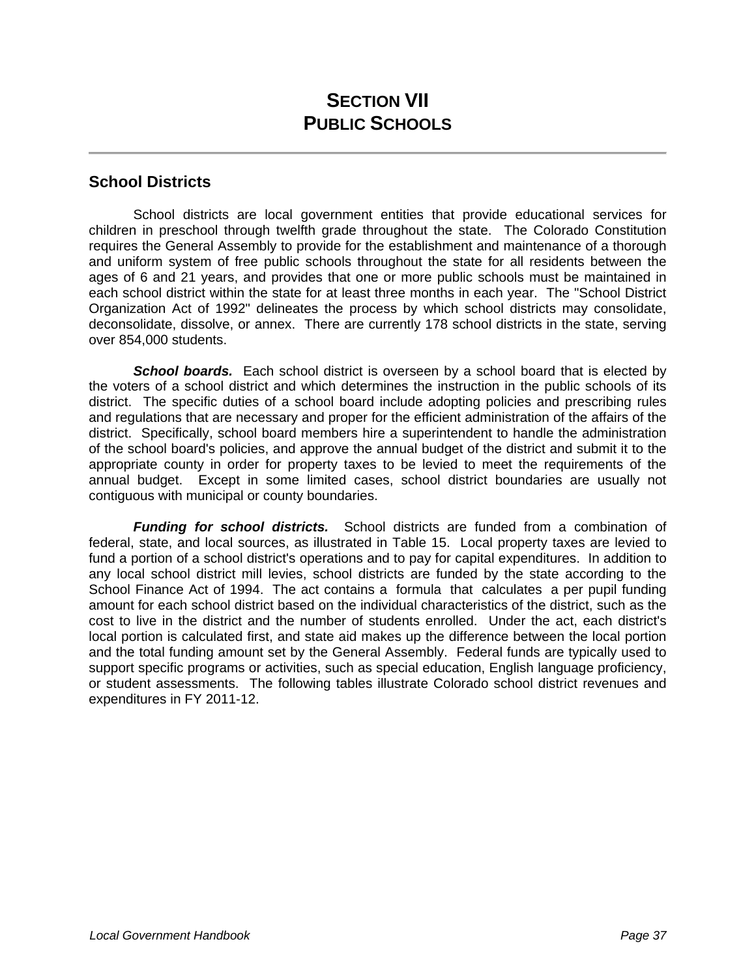#### **School Districts**

 School districts are local government entities that provide educational services for children in preschool through twelfth grade throughout the state. The Colorado Constitution requires the General Assembly to provide for the establishment and maintenance of a thorough and uniform system of free public schools throughout the state for all residents between the ages of 6 and 21 years, and provides that one or more public schools must be maintained in each school district within the state for at least three months in each year. The "School District Organization Act of 1992" delineates the process by which school districts may consolidate, deconsolidate, dissolve, or annex. There are currently 178 school districts in the state, serving over 854,000 students.

 *School boards.* Each school district is overseen by a school board that is elected by the voters of a school district and which determines the instruction in the public schools of its district. The specific duties of a school board include adopting policies and prescribing rules and regulations that are necessary and proper for the efficient administration of the affairs of the district. Specifically, school board members hire a superintendent to handle the administration of the school board's policies, and approve the annual budget of the district and submit it to the appropriate county in order for property taxes to be levied to meet the requirements of the annual budget. Except in some limited cases, school district boundaries are usually not contiguous with municipal or county boundaries.

 *Funding for school districts.* School districts are funded from a combination of federal, state, and local sources, as illustrated in Table 15. Local property taxes are levied to fund a portion of a school district's operations and to pay for capital expenditures. In addition to any local school district mill levies, school districts are funded by the state according to the School Finance Act of 1994. The act contains a formula that calculates a per pupil funding amount for each school district based on the individual characteristics of the district, such as the cost to live in the district and the number of students enrolled. Under the act, each district's local portion is calculated first, and state aid makes up the difference between the local portion and the total funding amount set by the General Assembly. Federal funds are typically used to support specific programs or activities, such as special education, English language proficiency, or student assessments. The following tables illustrate Colorado school district revenues and expenditures in FY 2011-12.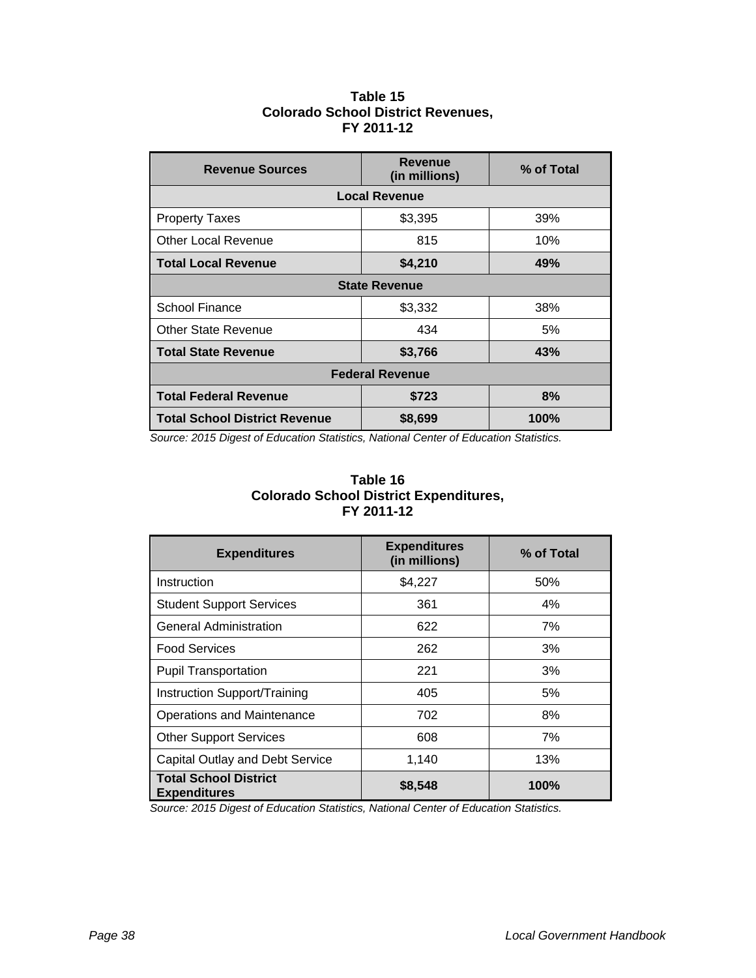#### **Table 15 Colorado School District Revenues, FY 2011-12**

| <b>Revenue Sources</b>               | <b>Revenue</b><br>(in millions) | % of Total |  |
|--------------------------------------|---------------------------------|------------|--|
| <b>Local Revenue</b>                 |                                 |            |  |
| <b>Property Taxes</b>                | \$3,395                         | 39%        |  |
| <b>Other Local Revenue</b>           | 815                             | 10%        |  |
| <b>Total Local Revenue</b>           | \$4,210                         | 49%        |  |
| <b>State Revenue</b>                 |                                 |            |  |
| <b>School Finance</b>                | \$3,332                         | 38%        |  |
| Other State Revenue                  | 434                             | 5%         |  |
| <b>Total State Revenue</b>           | \$3,766                         | 43%        |  |
| <b>Federal Revenue</b>               |                                 |            |  |
| <b>Total Federal Revenue</b>         | \$723                           | 8%         |  |
| <b>Total School District Revenue</b> | \$8,699                         | 100%       |  |

 *Source: 2015 Digest of Education Statistics, National Center of Education Statistics.* 

| Table 16                                      |  |  |
|-----------------------------------------------|--|--|
| <b>Colorado School District Expenditures,</b> |  |  |
| FY 2011-12                                    |  |  |

| <b>Expenditures</b>                                 | <b>Expenditures</b><br>(in millions) | % of Total |
|-----------------------------------------------------|--------------------------------------|------------|
| Instruction                                         | \$4,227                              | 50%        |
| <b>Student Support Services</b>                     | 361                                  | 4%         |
| <b>General Administration</b>                       | 622                                  | 7%         |
| <b>Food Services</b>                                | 262                                  | 3%         |
| <b>Pupil Transportation</b>                         | 221                                  | 3%         |
| Instruction Support/Training                        | 405                                  | 5%         |
| Operations and Maintenance                          | 702                                  | 8%         |
| <b>Other Support Services</b>                       | 608                                  | 7%         |
| Capital Outlay and Debt Service                     | 1,140                                | 13%        |
| <b>Total School District</b><br><b>Expenditures</b> | \$8,548                              | 100%       |

 *Source: 2015 Digest of Education Statistics, National Center of Education Statistics.*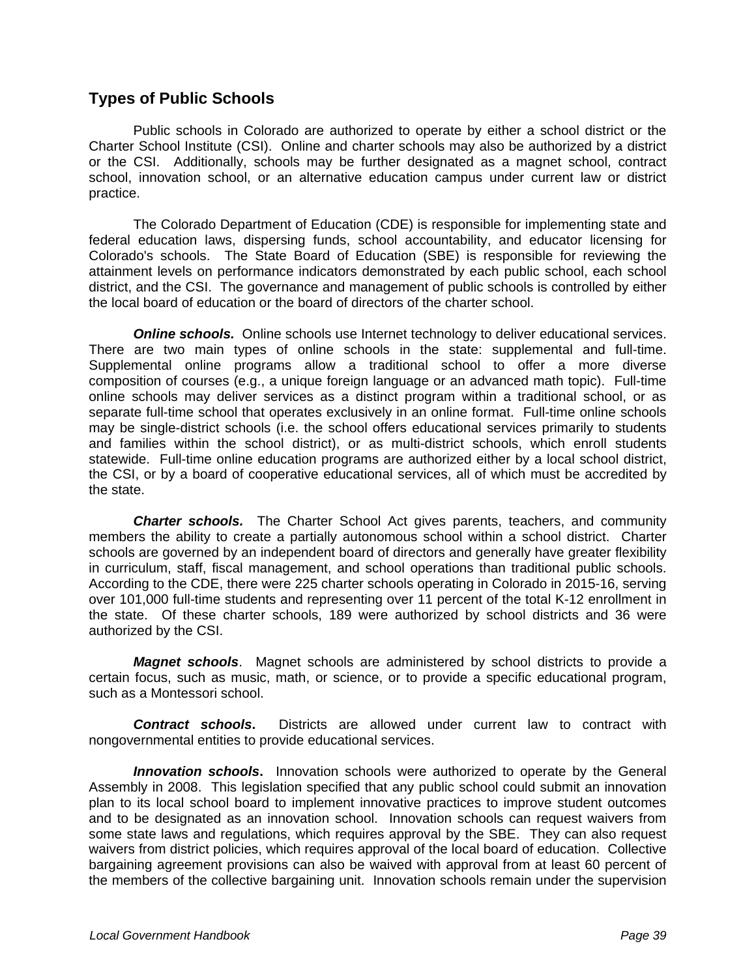## **Types of Public Schools**

Public schools in Colorado are authorized to operate by either a school district or the Charter School Institute (CSI). Online and charter schools may also be authorized by a district or the CSI. Additionally, schools may be further designated as a magnet school, contract school, innovation school, or an alternative education campus under current law or district practice.

 The Colorado Department of Education (CDE) is responsible for implementing state and federal education laws, dispersing funds, school accountability, and educator licensing for Colorado's schools. The State Board of Education (SBE) is responsible for reviewing the attainment levels on performance indicators demonstrated by each public school, each school district, and the CSI. The governance and management of public schools is controlled by either the local board of education or the board of directors of the charter school.

**Online schools.** Online schools use Internet technology to deliver educational services. There are two main types of online schools in the state: supplemental and full-time. Supplemental online programs allow a traditional school to offer a more diverse composition of courses (e.g., a unique foreign language or an advanced math topic). Full-time online schools may deliver services as a distinct program within a traditional school, or as separate full-time school that operates exclusively in an online format. Full-time online schools may be single-district schools (i.e. the school offers educational services primarily to students and families within the school district), or as multi-district schools, which enroll students statewide. Full-time online education programs are authorized either by a local school district, the CSI, or by a board of cooperative educational services, all of which must be accredited by the state.

*Charter schools.* The Charter School Act gives parents, teachers, and community members the ability to create a partially autonomous school within a school district. Charter schools are governed by an independent board of directors and generally have greater flexibility in curriculum, staff, fiscal management, and school operations than traditional public schools. According to the CDE, there were 225 charter schools operating in Colorado in 2015-16, serving over 101,000 full-time students and representing over 11 percent of the total K-12 enrollment in the state. Of these charter schools, 189 were authorized by school districts and 36 were authorized by the CSI.

*Magnet schools*. Magnet schools are administered by school districts to provide a certain focus, such as music, math, or science, or to provide a specific educational program, such as a Montessori school.

*Contract schools***.** Districts are allowed under current law to contract with nongovernmental entities to provide educational services.

**Innovation schools.** Innovation schools were authorized to operate by the General Assembly in 2008. This legislation specified that any public school could submit an innovation plan to its local school board to implement innovative practices to improve student outcomes and to be designated as an innovation school. Innovation schools can request waivers from some state laws and regulations, which requires approval by the SBE. They can also request waivers from district policies, which requires approval of the local board of education. Collective bargaining agreement provisions can also be waived with approval from at least 60 percent of the members of the collective bargaining unit. Innovation schools remain under the supervision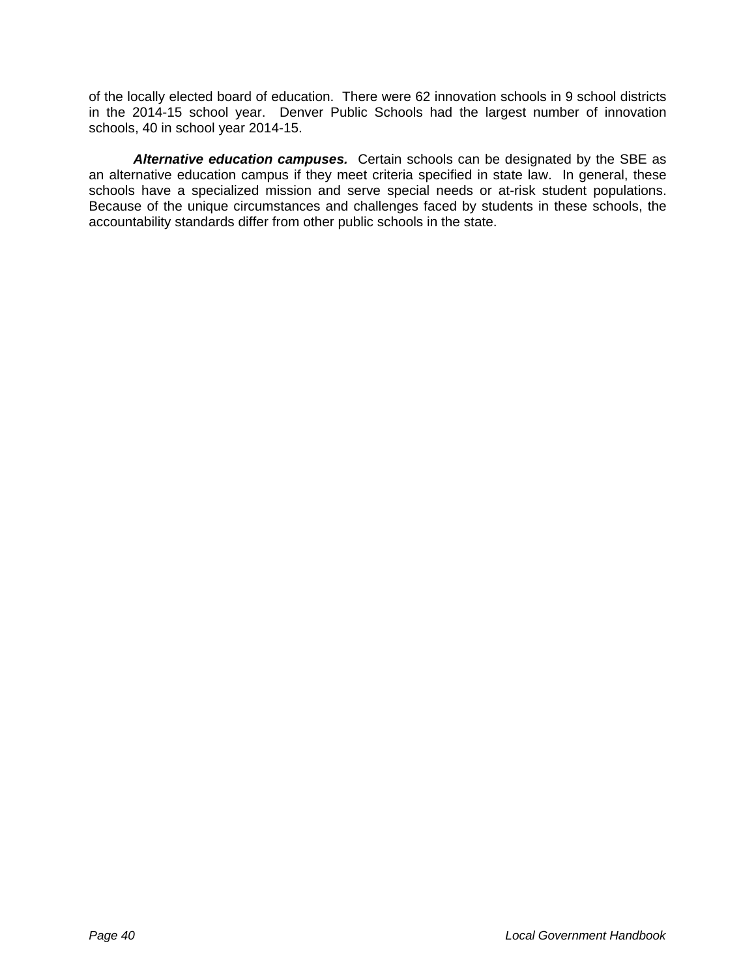of the locally elected board of education. There were 62 innovation schools in 9 school districts in the 2014-15 school year. Denver Public Schools had the largest number of innovation schools, 40 in school year 2014-15.

*Alternative education campuses.* Certain schools can be designated by the SBE as an alternative education campus if they meet criteria specified in state law. In general, these schools have a specialized mission and serve special needs or at-risk student populations. Because of the unique circumstances and challenges faced by students in these schools, the accountability standards differ from other public schools in the state.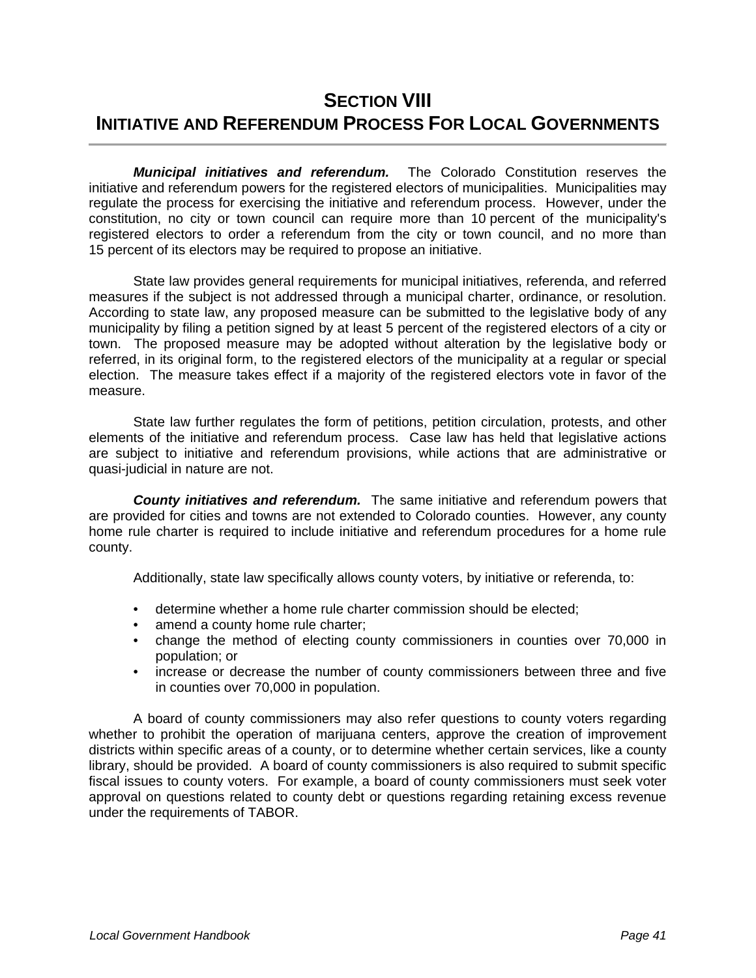# **SECTION VIII INITIATIVE AND REFERENDUM PROCESS FOR LOCAL GOVERNMENTS**

*Municipal initiatives and referendum.* The Colorado Constitution reserves the initiative and referendum powers for the registered electors of municipalities. Municipalities may regulate the process for exercising the initiative and referendum process. However, under the constitution, no city or town council can require more than 10 percent of the municipality's registered electors to order a referendum from the city or town council, and no more than 15 percent of its electors may be required to propose an initiative.

 State law provides general requirements for municipal initiatives, referenda, and referred measures if the subject is not addressed through a municipal charter, ordinance, or resolution. According to state law, any proposed measure can be submitted to the legislative body of any municipality by filing a petition signed by at least 5 percent of the registered electors of a city or town. The proposed measure may be adopted without alteration by the legislative body or referred, in its original form, to the registered electors of the municipality at a regular or special election. The measure takes effect if a majority of the registered electors vote in favor of the measure.

 State law further regulates the form of petitions, petition circulation, protests, and other elements of the initiative and referendum process. Case law has held that legislative actions are subject to initiative and referendum provisions, while actions that are administrative or quasi-judicial in nature are not.

 *County initiatives and referendum.* The same initiative and referendum powers that are provided for cities and towns are not extended to Colorado counties. However, any county home rule charter is required to include initiative and referendum procedures for a home rule county.

Additionally, state law specifically allows county voters, by initiative or referenda, to:

- determine whether a home rule charter commission should be elected;
- amend a county home rule charter;
- change the method of electing county commissioners in counties over 70,000 in population; or
- increase or decrease the number of county commissioners between three and five in counties over 70,000 in population.

 A board of county commissioners may also refer questions to county voters regarding whether to prohibit the operation of marijuana centers, approve the creation of improvement districts within specific areas of a county, or to determine whether certain services, like a county library, should be provided. A board of county commissioners is also required to submit specific fiscal issues to county voters. For example, a board of county commissioners must seek voter approval on questions related to county debt or questions regarding retaining excess revenue under the requirements of TABOR.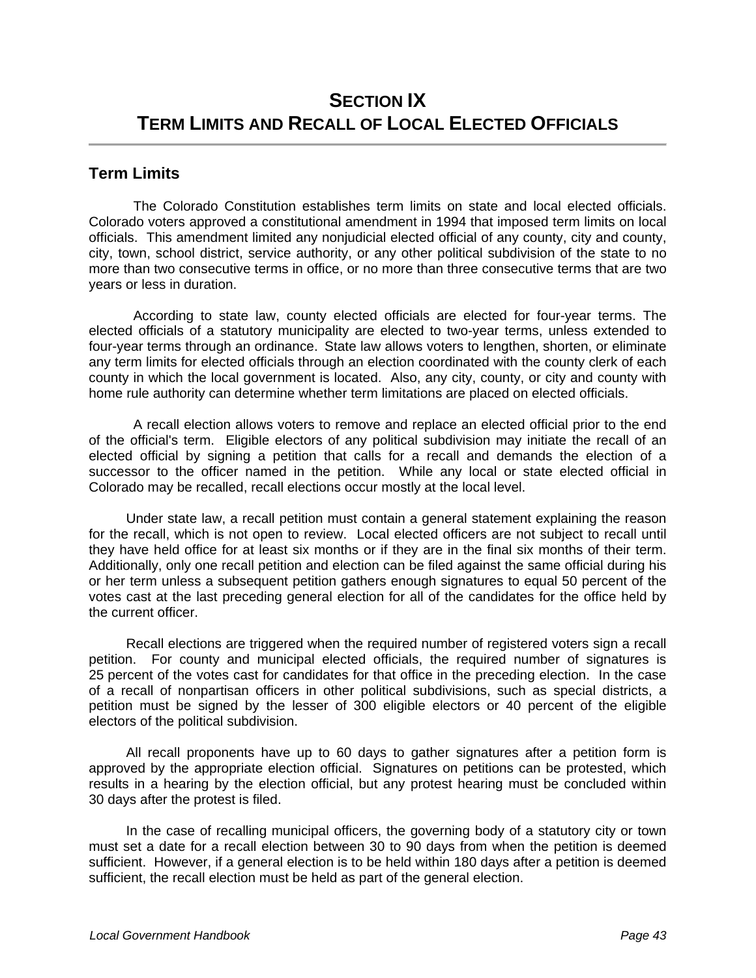# **SECTION IX TERM LIMITS AND RECALL OF LOCAL ELECTED OFFICIALS**

#### **Term Limits**

 The Colorado Constitution establishes term limits on state and local elected officials. Colorado voters approved a constitutional amendment in 1994 that imposed term limits on local officials. This amendment limited any nonjudicial elected official of any county, city and county, city, town, school district, service authority, or any other political subdivision of the state to no more than two consecutive terms in office, or no more than three consecutive terms that are two years or less in duration.

 According to state law, county elected officials are elected for four-year terms. The elected officials of a statutory municipality are elected to two-year terms, unless extended to four-year terms through an ordinance. State law allows voters to lengthen, shorten, or eliminate any term limits for elected officials through an election coordinated with the county clerk of each county in which the local government is located. Also, any city, county, or city and county with home rule authority can determine whether term limitations are placed on elected officials.

 A recall election allows voters to remove and replace an elected official prior to the end of the official's term. Eligible electors of any political subdivision may initiate the recall of an elected official by signing a petition that calls for a recall and demands the election of a successor to the officer named in the petition. While any local or state elected official in Colorado may be recalled, recall elections occur mostly at the local level.

 Under state law, a recall petition must contain a general statement explaining the reason for the recall, which is not open to review. Local elected officers are not subject to recall until they have held office for at least six months or if they are in the final six months of their term. Additionally, only one recall petition and election can be filed against the same official during his or her term unless a subsequent petition gathers enough signatures to equal 50 percent of the votes cast at the last preceding general election for all of the candidates for the office held by the current officer.

 Recall elections are triggered when the required number of registered voters sign a recall petition. For county and municipal elected officials, the required number of signatures is 25 percent of the votes cast for candidates for that office in the preceding election. In the case of a recall of nonpartisan officers in other political subdivisions, such as special districts, a petition must be signed by the lesser of 300 eligible electors or 40 percent of the eligible electors of the political subdivision.

 All recall proponents have up to 60 days to gather signatures after a petition form is approved by the appropriate election official. Signatures on petitions can be protested, which results in a hearing by the election official, but any protest hearing must be concluded within 30 days after the protest is filed.

 In the case of recalling municipal officers, the governing body of a statutory city or town must set a date for a recall election between 30 to 90 days from when the petition is deemed sufficient. However, if a general election is to be held within 180 days after a petition is deemed sufficient, the recall election must be held as part of the general election.